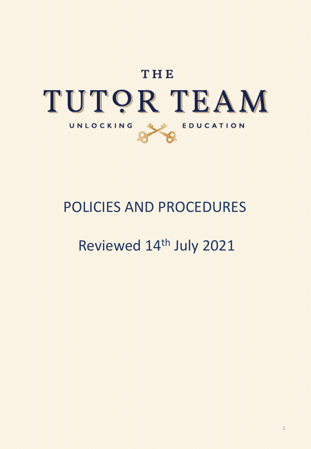

# POLICIES AND PROCEDURES

# Reviewed 14th July 2021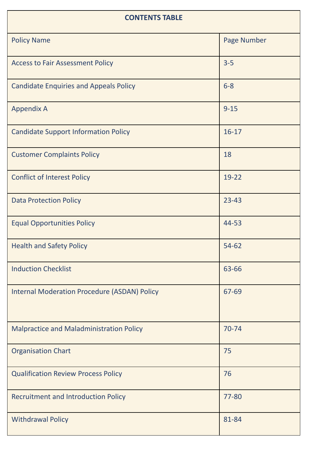| <b>CONTENTS TABLE</b>                               |             |
|-----------------------------------------------------|-------------|
| <b>Policy Name</b>                                  | Page Number |
| <b>Access to Fair Assessment Policy</b>             | $3 - 5$     |
| <b>Candidate Enquiries and Appeals Policy</b>       | $6 - 8$     |
| <b>Appendix A</b>                                   | $9 - 15$    |
| <b>Candidate Support Information Policy</b>         | $16 - 17$   |
| <b>Customer Complaints Policy</b>                   | 18          |
| <b>Conflict of Interest Policy</b>                  | 19-22       |
| <b>Data Protection Policy</b>                       | $23 - 43$   |
| <b>Equal Opportunities Policy</b>                   | 44-53       |
| <b>Health and Safety Policy</b>                     | 54-62       |
| <b>Induction Checklist</b>                          | 63-66       |
| <b>Internal Moderation Procedure (ASDAN) Policy</b> | 67-69       |
| Malpractice and Maladministration Policy            | 70-74       |
| <b>Organisation Chart</b>                           | 75          |
| <b>Qualification Review Process Policy</b>          | 76          |
| <b>Recruitment and Introduction Policy</b>          | 77-80       |
| <b>Withdrawal Policy</b>                            | 81-84       |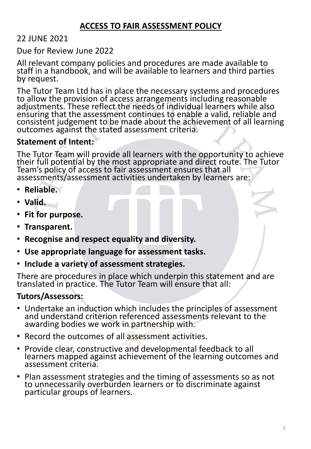#### **ACCESS TO FAIR ASSESSMENT POLICY**

#### 22 JUNE 2021

Due for Review June 2022

All relevant company policies and procedures are made available to staff in a handbook, and will be available to learners and third parties by request.

The Tutor Team Ltd has in place the necessary systems and procedures to allow the provision of access arrangements including reasonable adjustments. These reflect the needs of individual learners while also ensuring that the assessment continues to enable a valid, reliable and consistent judgement to be made about the achievement of all learning outcomes against the stated assessment criteria.

#### **Statement of Intent:**

The Tutor Team will provide all learners with the opportunity to achieve their full potential by the most appropriate and direct route. The Tutor Team's policy of access to fair assessment ensures that all assessments/assessment activities undertaken by learners are:

- **Reliable.**
- **Valid.**
- **Fit for purpose.**
- **Transparent.**
- **Recognise and respect equality and diversity.**
- **Use appropriate language for assessment tasks.**
- **Include a variety of assessment strategies.**

There are procedures in place which underpin this statement and are translated in practice. The Tutor Team will ensure that all:

#### **Tutors/Assessors:**

- Undertake an induction which includes the principles of assessment and understand criterion referenced assessments relevant to the awarding bodies we work in partnership with.
- Record the outcomes of all assessment activities.
- Provide clear, constructive and developmental feedback to all learners mapped against achievement of the learning outcomes and assessment criteria.
- Plan assessment strategies and the timing of assessments so as not to unnecessarily overburden learners or to discriminate against particular groups of learners.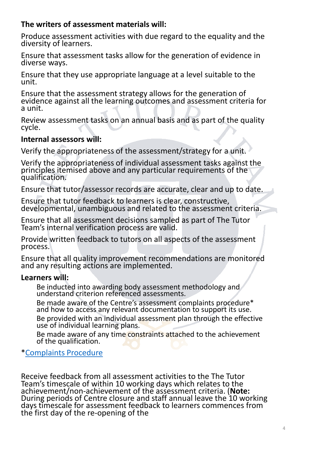#### **The writers of assessment materials will:**

Produce assessment activities with due regard to the equality and the diversity of learners.

Ensure that assessment tasks allow for the generation of evidence in diverse ways.

Ensure that they use appropriate language at a level suitable to the unit.

Ensure that the assessment strategy allows for the generation of evidence against all the learning outcomes and assessment criteria for a unit.

Review assessment tasks on an annual basis and as part of the quality cycle.

#### **Internal assessors will:**

Verify the appropriateness of the assessment/strategy for a unit.

Verify the appropriateness of individual assessment tasks against the principles itemised above and any particular requirements of the qualification.

Ensure that tutor/assessor records are accurate, clear and up to date.

Ensure that tutor feedback to learners is clear, constructive, developmental, unambiguous and related to the assessment criteria.

Ensure that all assessment decisions sampled as part of The Tutor Team's internal verification process are valid.

Provide written feedback to tutors on all aspects of the assessment process.

Ensure that all quality improvement recommendations are monitored and any resulting actions are implemented.

#### **Learners will:**

Be inducted into awarding body assessment methodology and understand criterion referenced assessments.

Be made aware of the Centre's assessment complaints procedure\* and how to access any relevant documentation to support its use.

Be provided with an individual assessment plan through the effective use of individual learning plans.

Be made aware of any time constraints attached to the achievement of the qualification.

\*[Complaints Procedure](https://www.dropbox.com/s/abevjaqn591pkgk/TTT%20Complaints%20procedure.docx?dl=0)

Receive feedback from all assessment activities to the The Tutor Team's timescale of within 10 working days which relates to the achievement/non-achievement of the assessment criteria. (**Note:**  During periods of Centre closure and staff annual leave the 10 working days timescale for assessment feedback to learners commences from the first day of the re-opening of the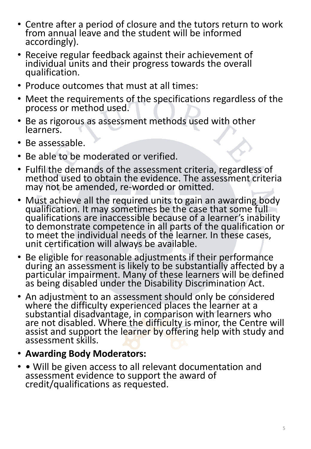- Centre after a period of closure and the tutors return to work from annual leave and the student will be informed accordingly).
- Receive regular feedback against their achievement of individual units and their progress towards the overall qualification.
- Produce outcomes that must at all times:
- Meet the requirements of the specifications regardless of the process or method used.
- Be as rigorous as assessment methods used with other learners.
- Be assessable.
- Be able to be moderated or verified.
- Fulfil the demands of the assessment criteria, regardless of method used to obtain the evidence. The assessment criteria may not be amended, re-worded or omitted.
- Must achieve all the required units to gain an awarding body qualification. It may sometimes be the case that some full qualifications are inaccessible because of a learner's inability to demonstrate competence in all parts of the qualification or to meet the individual needs of the learner. In these cases, unit certification will always be available.
- Be eligible for reasonable adjustments if their performance during an assessment is likely to be substantially affected by a particular impairment. Many of these learners will be defined as being disabled under the Disability Discrimination Act.
- An adjustment to an assessment should only be considered where the difficulty experienced places the learner at a substantial disadvantage, in comparison with learners who are not disabled. Where the difficulty is minor, the Centre will assist and support the learner by offering help with study and assessment skills.
- **Awarding Body Moderators:**
- • Will be given access to all relevant documentation and assessment evidence to support the award of credit/qualifications as requested.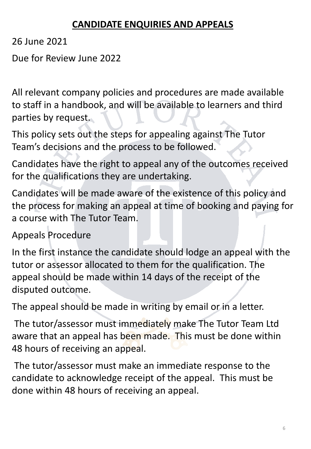### **CANDIDATE ENQUIRIES AND APPEALS**

26 June 2021

Due for Review June 2022

All relevant company policies and procedures are made available to staff in a handbook, and will be available to learners and third parties by request.

This policy sets out the steps for appealing against The Tutor Team's decisions and the process to be followed.

Candidates have the right to appeal any of the outcomes received for the qualifications they are undertaking.

Candidates will be made aware of the existence of this policy and the process for making an appeal at time of booking and paying for a course with The Tutor Team.

Appeals Procedure

In the first instance the candidate should lodge an appeal with the tutor or assessor allocated to them for the qualification. The appeal should be made within 14 days of the receipt of the disputed outcome.

The appeal should be made in writing by email or in a letter.

The tutor/assessor must immediately make The Tutor Team Ltd aware that an appeal has been made. This must be done within 48 hours of receiving an appeal.

The tutor/assessor must make an immediate response to the candidate to acknowledge receipt of the appeal. This must be done within 48 hours of receiving an appeal.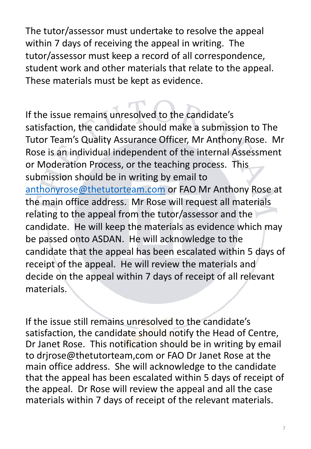The tutor/assessor must undertake to resolve the appeal within 7 days of receiving the appeal in writing. The tutor/assessor must keep a record of all correspondence, student work and other materials that relate to the appeal. These materials must be kept as evidence.

If the issue remains unresolved to the candidate's satisfaction, the candidate should make a submission to The Tutor Team's Quality Assurance Officer, Mr Anthony Rose. Mr Rose is an individual independent of the internal Assessment or Moderation Process, or the teaching process. This submission should be in writing by email to [anthonyrose@thetutorteam.com](mailto:anthonyrose@thetutorteam.com) or FAO Mr Anthony Rose at the main office address. Mr Rose will request all materials relating to the appeal from the tutor/assessor and the candidate. He will keep the materials as evidence which may be passed onto ASDAN. He will acknowledge to the candidate that the appeal has been escalated within 5 days of receipt of the appeal. He will review the materials and decide on the appeal within 7 days of receipt of all relevant materials.

If the issue still remains unresolved to the candidate's satisfaction, the candidate should notify the Head of Centre, Dr Janet Rose. This notification should be in writing by email to drjrose@thetutorteam,com or FAO Dr Janet Rose at the main office address. She will acknowledge to the candidate that the appeal has been escalated within 5 days of receipt of the appeal. Dr Rose will review the appeal and all the case materials within 7 days of receipt of the relevant materials.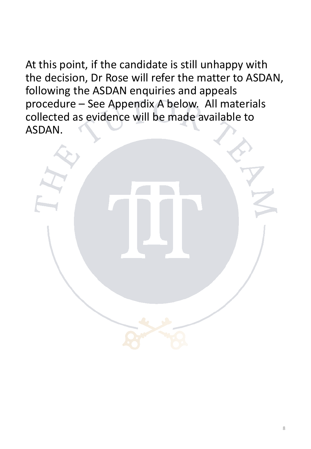At this point, if the candidate is still unhappy with the decision, Dr Rose will refer the matter to ASDAN, following the ASDAN enquiries and appeals procedure – See Appendix A below. All materials collected as evidence will be made available to ASDAN.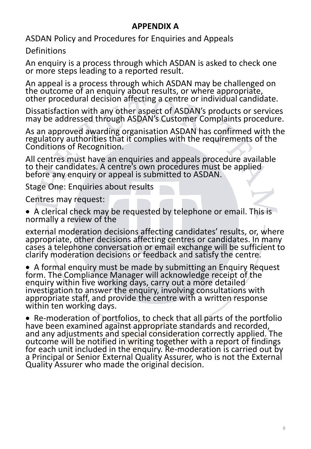#### **APPENDIX A**

ASDAN Policy and Procedures for Enquiries and Appeals

Definitions

An enquiry is a process through which ASDAN is asked to check one or more steps leading to a reported result.

An appeal is a process through which ASDAN may be challenged on the outcome of an enquiry about results, or where appropriate, other procedural decision affecting a centre or individual candidate.

Dissatisfaction with any other aspect of ASDAN's products or services may be addressed through ASDAN's Customer Complaints procedure.

As an approved awarding organisation ASDAN has confirmed with the regulatory authorities that it complies with the requirements of the Conditions of Recognition.

All centres must have an enquiries and appeals procedure available to their candidates. A centre's own procedures must be applied before any enquiry or appeal is submitted to ASDAN.

Stage One: Enquiries about results

Centres may request:

• A clerical check may be requested by telephone or email. This is normally a review of the

external moderation decisions affecting candidates' results, or, where appropriate, other decisions affecting centres or candidates. In many cases a telephone conversation or email exchange will be sufficient to clarify moderation decisions or feedback and satisfy the centre.

• A formal enquiry must be made by submitting an Enquiry Request form. The Compliance Manager will acknowledge receipt of the enquiry within five working days, carry out a more detailed investigation to answer the enquiry, involving consultations with appropriate staff, and provide the centre with a written response within ten working days.

• Re-moderation of portfolios, to check that all parts of the portfolio have been examined against appropriate standards and recorded, and any adjustments and special consideration correctly applied. The outcome will be notified in writing together with a report of findings for each unit included in the enquiry. Re-moderation is carried out by a Principal or Senior External Quality Assurer, who is not the External Quality Assurer who made the original decision.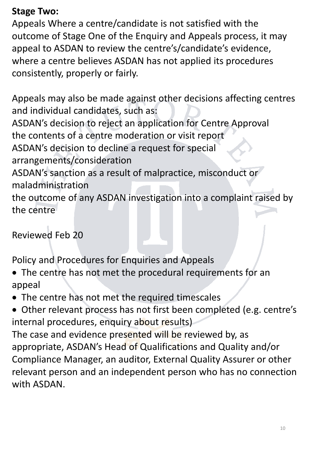### **Stage Two:**

Appeals Where a centre/candidate is not satisfied with the outcome of Stage One of the Enquiry and Appeals process, it may appeal to ASDAN to review the centre's/candidate's evidence, where a centre believes ASDAN has not applied its procedures consistently, properly or fairly.

Appeals may also be made against other decisions affecting centres and individual candidates, such as: ASDAN's decision to reject an application for Centre Approval the contents of a centre moderation or visit report ASDAN's decision to decline a request for special arrangements/consideration ASDAN's sanction as a result of malpractice, misconduct or maladministration the outcome of any ASDAN investigation into a complaint raised by the centre

Reviewed Feb 20

Policy and Procedures for Enquiries and Appeals

- The centre has not met the procedural requirements for an appeal
- The centre has not met the required timescales
- Other relevant process has not first been completed (e.g. centre's internal procedures, enquiry about results)

The case and evidence presented will be reviewed by, as appropriate, ASDAN's Head of Qualifications and Quality and/or Compliance Manager, an auditor, External Quality Assurer or other relevant person and an independent person who has no connection with ASDAN.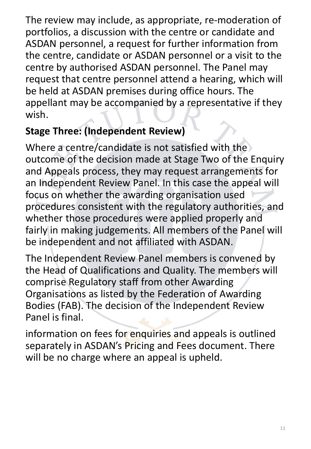The review may include, as appropriate, re-moderation of portfolios, a discussion with the centre or candidate and ASDAN personnel, a request for further information from the centre, candidate or ASDAN personnel or a visit to the centre by authorised ASDAN personnel. The Panel may request that centre personnel attend a hearing, which will be held at ASDAN premises during office hours. The appellant may be accompanied by a representative if they wish.

# **Stage Three: (Independent Review)**

Where a centre/candidate is not satisfied with the outcome of the decision made at Stage Two of the Enquiry and Appeals process, they may request arrangements for an Independent Review Panel. In this case the appeal will focus on whether the awarding organisation used procedures consistent with the regulatory authorities, and whether those procedures were applied properly and fairly in making judgements. All members of the Panel will be independent and not affiliated with ASDAN.

The Independent Review Panel members is convened by the Head of Qualifications and Quality. The members will comprise Regulatory staff from other Awarding Organisations as listed by the Federation of Awarding Bodies (FAB). The decision of the Independent Review Panel is final.

information on fees for enquiries and appeals is outlined separately in ASDAN's Pricing and Fees document. There will be no charge where an appeal is upheld.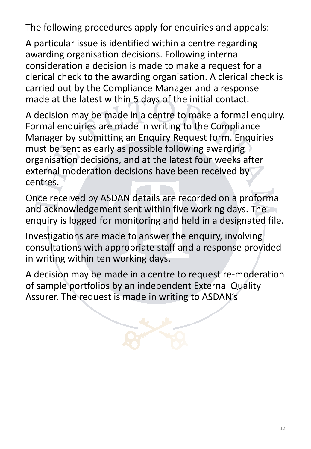The following procedures apply for enquiries and appeals:

A particular issue is identified within a centre regarding awarding organisation decisions. Following internal consideration a decision is made to make a request for a clerical check to the awarding organisation. A clerical check is carried out by the Compliance Manager and a response made at the latest within 5 days of the initial contact.

A decision may be made in a centre to make a formal enquiry. Formal enquiries are made in writing to the Compliance Manager by submitting an Enquiry Request form. Enquiries must be sent as early as possible following awarding organisation decisions, and at the latest four weeks after external moderation decisions have been received by centres.

Once received by ASDAN details are recorded on a proforma and acknowledgement sent within five working days. The enquiry is logged for monitoring and held in a designated file.

Investigations are made to answer the enquiry, involving consultations with appropriate staff and a response provided in writing within ten working days.

A decision may be made in a centre to request re-moderation of sample portfolios by an independent External Quality Assurer. The request is made in writing to ASDAN's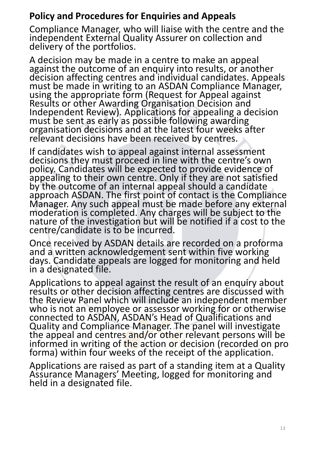### **Policy and Procedures for Enquiries and Appeals**

Compliance Manager, who will liaise with the centre and the independent External Quality Assurer on collection and delivery of the portfolios.

A decision may be made in a centre to make an appeal against the outcome of an enquiry into results, or another decision affecting centres and individual candidates. Appeals must be made in writing to an ASDAN Compliance Manager, using the appropriate form (Request for Appeal against Results or other Awarding Organisation Decision and Independent Review). Applications for appealing a decision must be sent as early as possible following awarding organisation decisions and at the latest four weeks after relevant decisions have been received by centres.

If candidates wish to appeal against internal assessment decisions they must proceed in line with the centre's own policy. Candidates will be expected to provide evidence of appealing to their own centre. Only if they are not satisfied by the outcome of an internal appeal should a candidate approach ASDAN. The first point of contact is the Compliance Manager. Any such appeal must be made before any external moderation is completed. Any charges will be subject to the nature of the investigation but will be notified if a cost to the centre/candidate is to be incurred.

Once received by ASDAN details are recorded on a proforma and a written acknowledgement sent within five working days. Candidate appeals are logged for monitoring and held in a designated file.

Applications to appeal against the result of an enquiry about results or other decision affecting centres are discussed with the Review Panel which will include an independent member who is not an employee or assessor working for or otherwise connected to ASDAN, ASDAN's Head of Qualifications and Quality and Compliance Manager. The panel will investigate the appeal and centres and/or other relevant persons will be informed in writing of the action or decision (recorded on pro forma) within four weeks of the receipt of the application.

Applications are raised as part of a standing item at a Quality Assurance Managers' Meeting, logged for monitoring and held in a designated file.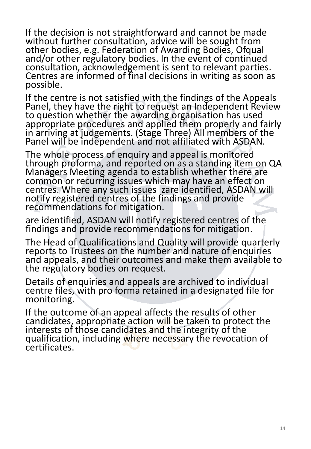If the decision is not straightforward and cannot be made without further consultation, advice will be sought from other bodies, e.g. Federation of Awarding Bodies, Ofqual and/or other regulatory bodies. In the event of continued consultation, acknowledgement is sent to relevant parties. Centres are informed of final decisions in writing as soon as possible.

If the centre is not satisfied with the findings of the Appeals Panel, they have the right to request an Independent Review to question whether the awarding organisation has used appropriate procedures and applied them properly and fairly in arriving at judgements. (Stage Three) All members of the Panel will be independent and not affiliated with ASDAN.

The whole process of enquiry and appeal is monitored through proforma, and reported on as a standing item on QA Managers Meeting agenda to establish whether there are common or recurring issues which may have an effect on centres. Where any such issues zare identified, ASDAN will notify registered centres of the findings and provide recommendations for mitigation.

are identified, ASDAN will notify registered centres of the findings and provide recommendations for mitigation.

The Head of Qualifications and Quality will provide quarterly reports to Trustees on the number and nature of enquiries and appeals, and their outcomes and make them available to the regulatory bodies on request.

Details of enquiries and appeals are archived to individual centre files, with pro forma retained in a designated file for monitoring.

If the outcome of an appeal affects the results of other candidates, appropriate action will be taken to protect the interests of those candidates and the integrity of the qualification, including where necessary the revocation of certificates.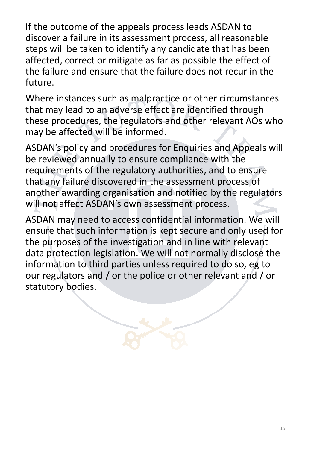If the outcome of the appeals process leads ASDAN to discover a failure in its assessment process, all reasonable steps will be taken to identify any candidate that has been affected, correct or mitigate as far as possible the effect of the failure and ensure that the failure does not recur in the future.

Where instances such as malpractice or other circumstances that may lead to an adverse effect are identified through these procedures, the regulators and other relevant AOs who may be affected will be informed.

ASDAN's policy and procedures for Enquiries and Appeals will be reviewed annually to ensure compliance with the requirements of the regulatory authorities, and to ensure that any failure discovered in the assessment process of another awarding organisation and notified by the regulators will not affect ASDAN's own assessment process.

ASDAN may need to access confidential information. We will ensure that such information is kept secure and only used for the purposes of the investigation and in line with relevant data protection legislation. We will not normally disclose the information to third parties unless required to do so, eg to our regulators and / or the police or other relevant and / or statutory bodies.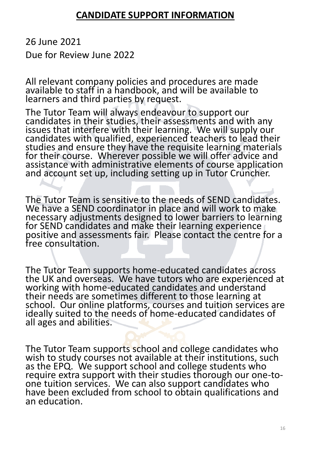#### **CANDIDATE SUPPORT INFORMATION**

26 June 2021

Due for Review June 2022

All relevant company policies and procedures are made available to staff in a handbook, and will be available to learners and third parties by request.

The Tutor Team will always endeavour to support our candidates in their studies, their assessments and with any issues that interfere with their learning. We will supply our candidates with qualified, experienced teachers to lead their studies and ensure they have the requisite learning materials for their course. Wherever possible we will offer advice and assistance with administrative elements of course application and account set up, including setting up in Tutor Cruncher.

The Tutor Team is sensitive to the needs of SEND candidates. We have a SEND coordinator in place and will work to make necessary adjustments designed to lower barriers to learning for SEND candidates and make their learning experience positive and assessments fair. Please contact the centre for a free consultation.

The Tutor Team supports home-educated candidates across the UK and overseas. We have tutors who are experienced at working with home-educated candidates and understand their needs are sometimes different to those learning at school. Our online platforms, courses and tuition services are ideally suited to the needs of home-educated candidates of all ages and abilities.

The Tutor Team supports school and college candidates who wish to study courses not available at their institutions, such as the EPQ. We support school and college students who require extra support with their studies thorough our one-toone tuition services. We can also support candidates who have been excluded from school to obtain qualifications and an education.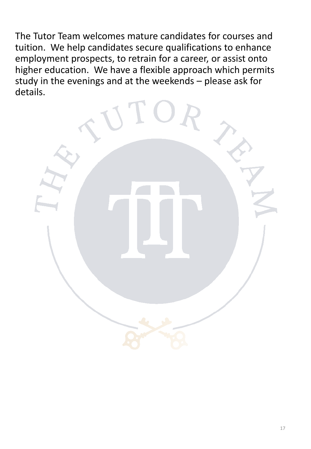The Tutor Team welcomes mature candidates for courses and tuition. We help candidates secure qualifications to enhance employment prospects, to retrain for a career, or assist onto higher education. We have a flexible approach which permits study in the evenings and at the weekends – please ask for details.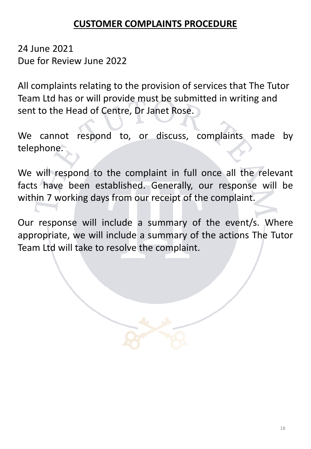#### **CUSTOMER COMPLAINTS PROCEDURE**

24 June 2021 Due for Review June 2022

All complaints relating to the provision of services that The Tutor Team Ltd has or will provide must be submitted in writing and sent to the Head of Centre, Dr Janet Rose.

We cannot respond to, or discuss, complaints made by telephone.

We will respond to the complaint in full once all the relevant facts have been established. Generally, our response will be within 7 working days from our receipt of the complaint.

Our response will include a summary of the event/s. Where appropriate, we will include a summary of the actions The Tutor Team Ltd will take to resolve the complaint.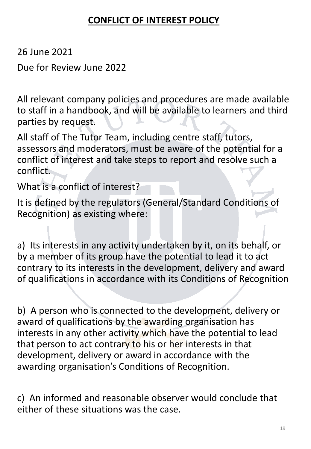### **CONFLICT OF INTEREST POLICY**

26 June 2021

Due for Review June 2022

All relevant company policies and procedures are made available to staff in a handbook, and will be available to learners and third parties by request.

All staff of The Tutor Team, including centre staff, tutors, assessors and moderators, must be aware of the potential for a conflict of interest and take steps to report and resolve such a conflict.

What is a conflict of interest?

It is defined by the regulators (General/Standard Conditions of Recognition) as existing where:

a) Its interests in any activity undertaken by it, on its behalf, or by a member of its group have the potential to lead it to act contrary to its interests in the development, delivery and award of qualifications in accordance with its Conditions of Recognition

b) A person who is connected to the development, delivery or award of qualifications by the awarding organisation has interests in any other activity which have the potential to lead that person to act contrary to his or her interests in that development, delivery or award in accordance with the awarding organisation's Conditions of Recognition.

c) An informed and reasonable observer would conclude that either of these situations was the case.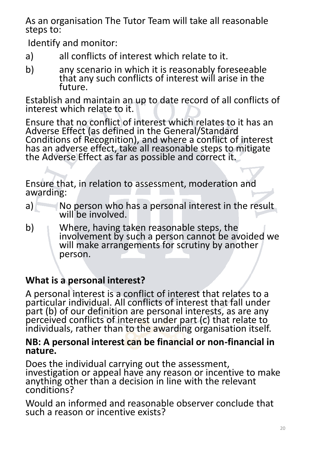As an organisation The Tutor Team will take all reasonable steps to:

Identify and monitor:

- a) all conflicts of interest which relate to it.
- b) any scenario in which it is reasonably foreseeable that any such conflicts of interest will arise in the future.

Establish and maintain an up to date record of all conflicts of interest which relate to it.

Ensure that no conflict of interest which relates to it has an Adverse Effect (as defined in the General/Standard Conditions of Recognition), and where a conflict of interest has an adverse effect, take all reasonable steps to mitigate the Adverse Effect as far as possible and correct it.

Ensure that, in relation to assessment, moderation and awarding:

- a) No person who has a personal interest in the result will be involved.
- b) Where, having taken reasonable steps, the involvement by such a person cannot be avoided we will make arrangements for scrutiny by another person.

# **What is a personal interest?**

A personal interest is a conflict of interest that relates to a particular individual. All conflicts of interest that fall under part (b) of our definition are personal interests, as are any perceived conflicts of interest under part (c) that relate to individuals, rather than to the awarding organisation itself.

#### **NB: A personal interest can be financial or non-financial in nature.**

Does the individual carrying out the assessment, investigation or appeal have any reason or incentive to make anything other than a decision in line with the relevant conditions?

Would an informed and reasonable observer conclude that such a reason or incentive exists?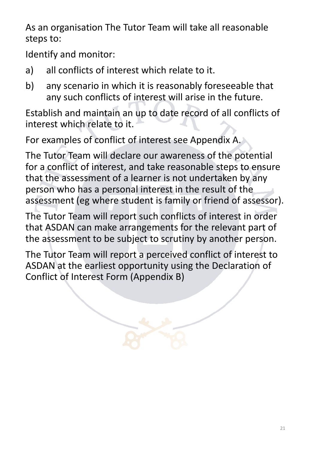As an organisation The Tutor Team will take all reasonable steps to:

Identify and monitor:

- a) all conflicts of interest which relate to it.
- b) any scenario in which it is reasonably foreseeable that any such conflicts of interest will arise in the future.

Establish and maintain an up to date record of all conflicts of interest which relate to it.

For examples of conflict of interest see Appendix A.

The Tutor Team will declare our awareness of the potential for a conflict of interest, and take reasonable steps to ensure that the assessment of a learner is not undertaken by any person who has a personal interest in the result of the assessment (eg where student is family or friend of assessor).

The Tutor Team will report such conflicts of interest in order that ASDAN can make arrangements for the relevant part of the assessment to be subject to scrutiny by another person.

The Tutor Team will report a perceived conflict of interest to ASDAN at the earliest opportunity using the Declaration of Conflict of Interest Form (Appendix B)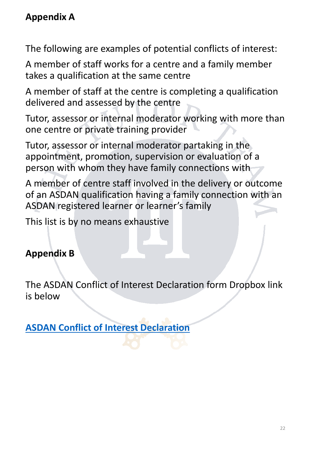### **Appendix A**

The following are examples of potential conflicts of interest:

A member of staff works for a centre and a family member takes a qualification at the same centre

A member of staff at the centre is completing a qualification delivered and assessed by the centre

Tutor, assessor or internal moderator working with more than one centre or private training provider

Tutor, assessor or internal moderator partaking in the appointment, promotion, supervision or evaluation of a person with whom they have family connections with

A member of centre staff involved in the delivery or outcome of an ASDAN qualification having a family connection with an ASDAN registered learner or learner's family

This list is by no means exhaustive

# **Appendix B**

The ASDAN Conflict of Interest Declaration form Dropbox link is below

**[ASDAN Conflict of Interest Declaration](https://www.dropbox.com/s/mmagkk3o5w73o83/declaration_coi_form_sept_19.docx?dl=0)**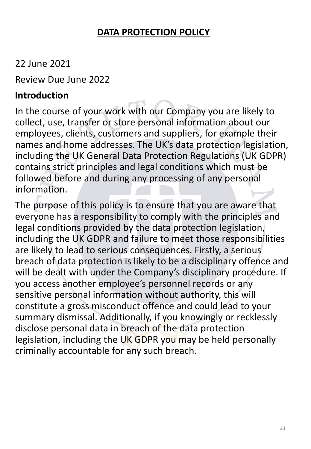### **DATA PROTECTION POLICY**

### 22 June 2021

Review Due June 2022

#### **Introduction**

In the course of your work with our Company you are likely to collect, use, transfer or store personal information about our employees, clients, customers and suppliers, for example their names and home addresses. The UK's data protection legislation, including the UK General Data Protection Regulations (UK GDPR) contains strict principles and legal conditions which must be followed before and during any processing of any personal information.

The purpose of this policy is to ensure that you are aware that everyone has a responsibility to comply with the principles and legal conditions provided by the data protection legislation, including the UK GDPR and failure to meet those responsibilities are likely to lead to serious consequences. Firstly, a serious breach of data protection is likely to be a disciplinary offence and will be dealt with under the Company's disciplinary procedure. If you access another employee's personnel records or any sensitive personal information without authority, this will constitute a gross misconduct offence and could lead to your summary dismissal. Additionally, if you knowingly or recklessly disclose personal data in breach of the data protection legislation, including the UK GDPR you may be held personally criminally accountable for any such breach.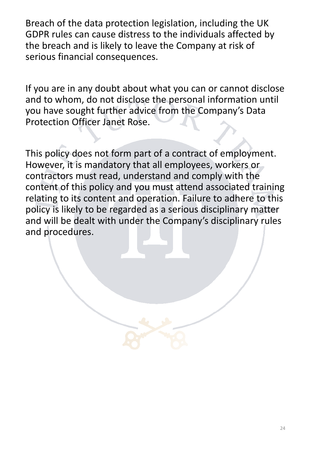Breach of the data protection legislation, including the UK GDPR rules can cause distress to the individuals affected by the breach and is likely to leave the Company at risk of serious financial consequences.

If you are in any doubt about what you can or cannot disclose and to whom, do not disclose the personal information until you have sought further advice from the Company's Data Protection Officer Janet Rose.

This policy does not form part of a contract of employment. However, it is mandatory that all employees, workers or contractors must read, understand and comply with the content of this policy and you must attend associated training relating to its content and operation. Failure to adhere to this policy is likely to be regarded as a serious disciplinary matter and will be dealt with under the Company's disciplinary rules and procedures.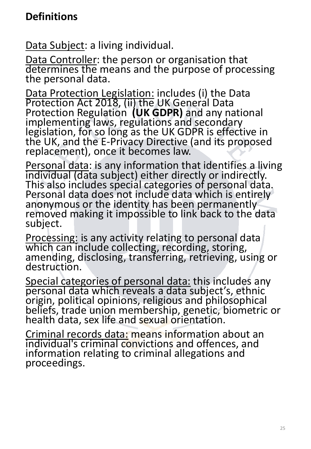# **Definitions**

Data Subject: a living individual.

Data Controller: the person or organisation that determines the means and the purpose of processing the personal data.

Data Protection Legislation: includes (i) the Data Protection Act 2018, (ii) the UK General Data Protection Regulation **(UK GDPR)** and any national implementing laws, regulations and secondary legislation, for so long as the UK GDPR is effective in the UK, and the E-Privacy Directive (and its proposed replacement), once it becomes law.

Personal data: is any information that identifies a living individual (data subject) either directly or indirectly. This also includes special categories of personal data. Personal data does not include data which is entirely anonymous or the identity has been permanently removed making it impossible to link back to the data subject.

Processing: is any activity relating to personal data which can include collecting, recording, storing, amending, disclosing, transferring, retrieving, using or destruction.

Special categories of personal data: this includes any personal data which reveals a data subject's, ethnic origin, political opinions, religious and philosophical beliefs, trade union membership, genetic, biometric or health data, sex life and sexual orientation.

Criminal records data: means information about an individual's criminal convictions and offences, and information relating to criminal allegations and proceedings.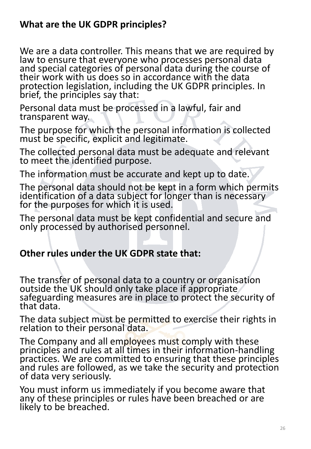#### **What are the UK GDPR principles?**

We are a data controller. This means that we are required by law to ensure that everyone who processes personal data and special categories of personal data during the course of their work with us does so in accordance with the data protection legislation, including the UK GDPR principles. In brief, the principles say that:

Personal data must be processed in a lawful, fair and transparent way.

The purpose for which the personal information is collected must be specific, explicit and legitimate.

The collected personal data must be adequate and relevant to meet the identified purpose.

The information must be accurate and kept up to date.

The personal data should not be kept in a form which permits identification of a data subject for longer than is necessary for the purposes for which it is used.

The personal data must be kept confidential and secure and only processed by authorised personnel.

### **Other rules under the UK GDPR state that:**

The transfer of personal data to a country or organisation outside the UK should only take place if appropriate safeguarding measures are in place to protect the security of that data.

The data subject must be permitted to exercise their rights in relation to their personal data.

The Company and all employees must comply with these principles and rules at all times in their information-handling practices. We are committed to ensuring that these principles and rules are followed, as we take the security and protection of data very seriously.

You must inform us immediately if you become aware that any of these principles or rules have been breached or are likely to be breached.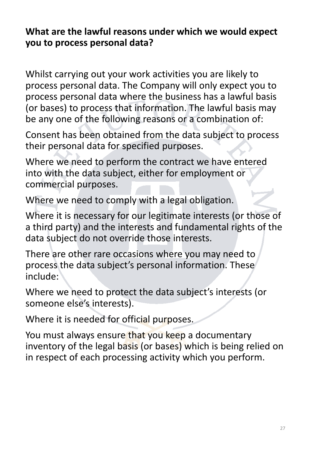#### **What are the lawful reasons under which we would expect you to process personal data?**

Whilst carrying out your work activities you are likely to process personal data. The Company will only expect you to process personal data where the business has a lawful basis (or bases) to process that information. The lawful basis may be any one of the following reasons or a combination of:

Consent has been obtained from the data subject to process their personal data for specified purposes.

Where we need to perform the contract we have entered into with the data subject, either for employment or commercial purposes.

Where we need to comply with a legal obligation.

Where it is necessary for our legitimate interests (or those of a third party) and the interests and fundamental rights of the data subject do not override those interests.

There are other rare occasions where you may need to process the data subject's personal information. These include:

Where we need to protect the data subject's interests (or someone else's interests).

Where it is needed for official purposes.

You must always ensure that you keep a documentary inventory of the legal basis (or bases) which is being relied on in respect of each processing activity which you perform.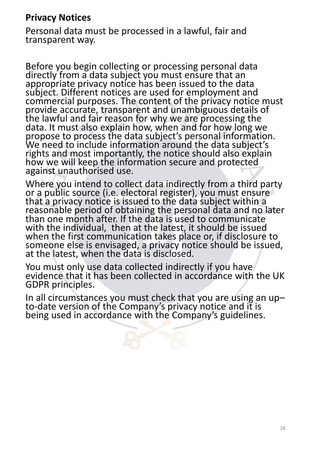#### **Privacy Notices**

Personal data must be processed in a lawful, fair and transparent way.

Before you begin collecting or processing personal data directly from a data subject you must ensure that an appropriate privacy notice has been issued to the data subject. Different notices are used for employment and commercial purposes. The content of the privacy notice must provide accurate, transparent and unambiguous details of the lawful and fair reason for why we are processing the data. It must also explain how, when and for how long we propose to process the data subject's personal information. We need to include information around the data subject's rights and most importantly, the notice should also explain how we will keep the information secure and protected against unauthorised use.

Where you intend to collect data indirectly from a third party or a public source (i.e. electoral register), you must ensure that a privacy notice is issued to the data subject within a reasonable period of obtaining the personal data and no later than one month after. If the data is used to communicate with the individual, then at the latest, it should be issued when the first communication takes place or, if disclosure to someone else is envisaged, a privacy notice should be issued, at the latest, when the data is disclosed.

You must only use data collected indirectly if you have evidence that it has been collected in accordance with the UK GDPR principles.

In all circumstances you must check that you are using an up– to-date version of the Company's privacy notice and it is being used in accordance with the Company's guidelines.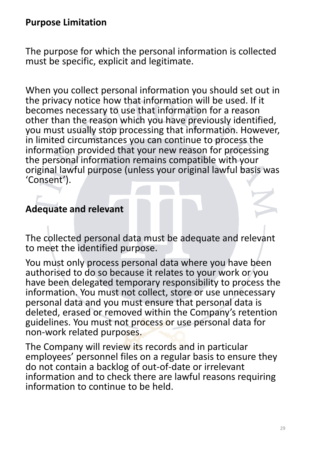#### **Purpose Limitation**

The purpose for which the personal information is collected must be specific, explicit and legitimate.

When you collect personal information you should set out in the privacy notice how that information will be used. If it becomes necessary to use that information for a reason other than the reason which you have previously identified, you must usually stop processing that information. However, in limited circumstances you can continue to process the information provided that your new reason for processing the personal information remains compatible with your original lawful purpose (unless your original lawful basis was 'Consent').

#### **Adequate and relevant**

The collected personal data must be adequate and relevant to meet the identified purpose.

You must only process personal data where you have been authorised to do so because it relates to your work or you have been delegated temporary responsibility to process the information. You must not collect, store or use unnecessary personal data and you must ensure that personal data is deleted, erased or removed within the Company's retention guidelines. You must not process or use personal data for non-work related purposes.

The Company will review its records and in particular employees' personnel files on a regular basis to ensure they do not contain a backlog of out-of-date or irrelevant information and to check there are lawful reasons requiring information to continue to be held.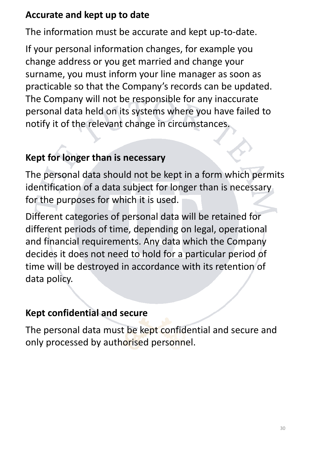### **Accurate and kept up to date**

The information must be accurate and kept up-to-date.

If your personal information changes, for example you change address or you get married and change your surname, you must inform your line manager as soon as practicable so that the Company's records can be updated. The Company will not be responsible for any inaccurate personal data held on its systems where you have failed to notify it of the relevant change in circumstances.

## **Kept for longer than is necessary**

The personal data should not be kept in a form which permits identification of a data subject for longer than is necessary for the purposes for which it is used.

Different categories of personal data will be retained for different periods of time, depending on legal, operational and financial requirements. Any data which the Company decides it does not need to hold for a particular period of time will be destroyed in accordance with its retention of data policy.

### **Kept confidential and secure**

The personal data must be kept confidential and secure and only processed by authorised personnel.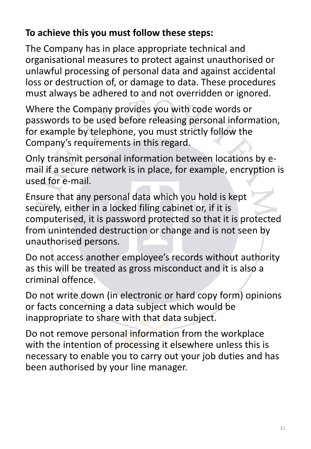## **To achieve this you must follow these steps:**

The Company has in place appropriate technical and organisational measures to protect against unauthorised or unlawful processing of personal data and against accidental loss or destruction of, or damage to data. These procedures must always be adhered to and not overridden or ignored.

Where the Company provides you with code words or passwords to be used before releasing personal information, for example by telephone, you must strictly follow the Company's requirements in this regard.

Only transmit personal information between locations by email if a secure network is in place, for example, encryption is used for e-mail.

Ensure that any personal data which you hold is kept securely, either in a locked filing cabinet or, if it is computerised, it is password protected so that it is protected from unintended destruction or change and is not seen by unauthorised persons.

Do not access another employee's records without authority as this will be treated as gross misconduct and it is also a criminal offence.

Do not write down (in electronic or hard copy form) opinions or facts concerning a data subject which would be inappropriate to share with that data subject.

Do not remove personal information from the workplace with the intention of processing it elsewhere unless this is necessary to enable you to carry out your job duties and has been authorised by your line manager.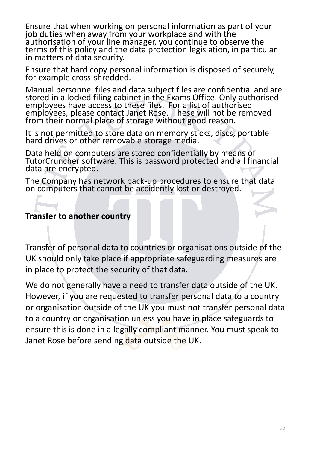Ensure that when working on personal information as part of your job duties when away from your workplace and with the authorisation of your line manager, you continue to observe the terms of this policy and the data protection legislation, in particular in matters of data security.

Ensure that hard copy personal information is disposed of securely, for example cross-shredded.

Manual personnel files and data subject files are confidential and are stored in a locked filing cabinet in the Exams Office. Only authorised employees have access to these files. For a list of authorised employees, please contact Janet Rose. These will not be removed from their normal place of storage without good reason.

It is not permitted to store data on memory sticks, discs, portable hard drives or other removable storage media.

Data held on computers are stored confidentially by means of TutorCruncher software. This is password protected and all financial data are encrypted.

The Company has network back-up procedures to ensure that data on computers that cannot be accidently lost or destroyed.

#### **Transfer to another country**

Transfer of personal data to countries or organisations outside of the UK should only take place if appropriate safeguarding measures are in place to protect the security of that data.

We do not generally have a need to transfer data outside of the UK. However, if you are requested to transfer personal data to a country or organisation outside of the UK you must not transfer personal data to a country or organisation unless you have in place safeguards to ensure this is done in a legally compliant manner. You must speak to Janet Rose before sending data outside the UK.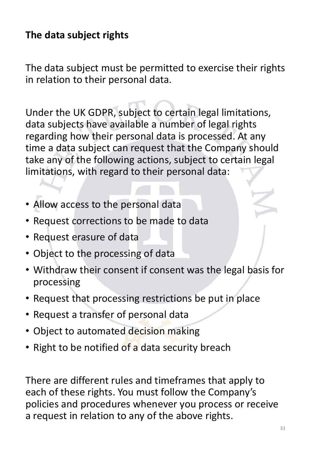# **The data subject rights**

The data subject must be permitted to exercise their rights in relation to their personal data.

Under the UK GDPR, subject to certain legal limitations, data subjects have available a number of legal rights regarding how their personal data is processed. At any time a data subject can request that the Company should take any of the following actions, subject to certain legal limitations, with regard to their personal data:

- Allow access to the personal data
- Request corrections to be made to data
- Request erasure of data
- Object to the processing of data
- Withdraw their consent if consent was the legal basis for processing
- Request that processing restrictions be put in place
- Request a transfer of personal data
- Object to automated decision making
- Right to be notified of a data security breach

There are different rules and timeframes that apply to each of these rights. You must follow the Company's policies and procedures whenever you process or receive a request in relation to any of the above rights.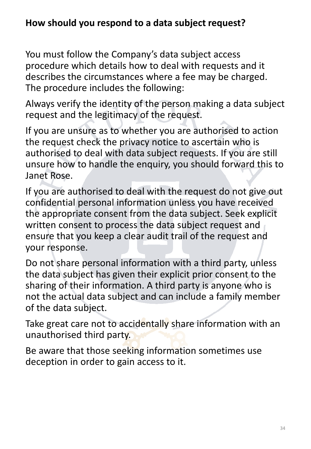### **How should you respond to a data subject request?**

You must follow the Company's data subject access procedure which details how to deal with requests and it describes the circumstances where a fee may be charged. The procedure includes the following:

Always verify the identity of the person making a data subject request and the legitimacy of the request.

If you are unsure as to whether you are authorised to action the request check the privacy notice to ascertain who is authorised to deal with data subject requests. If you are still unsure how to handle the enquiry, you should forward this to Janet Rose.

If you are authorised to deal with the request do not give out confidential personal information unless you have received the appropriate consent from the data subject. Seek explicit written consent to process the data subject request and ensure that you keep a clear audit trail of the request and your response.

Do not share personal information with a third party, unless the data subject has given their explicit prior consent to the sharing of their information. A third party is anyone who is not the actual data subject and can include a family member of the data subject.

Take great care not to accidentally share information with an unauthorised third party.

Be aware that those seeking information sometimes use deception in order to gain access to it.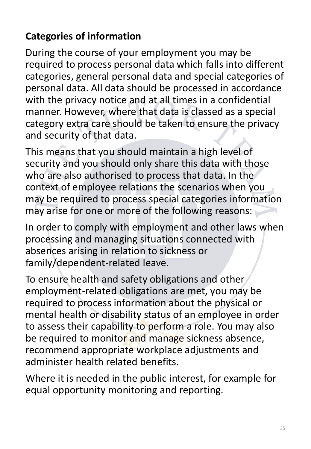# **Categories of information**

During the course of your employment you may be required to process personal data which falls into different categories, general personal data and special categories of personal data. All data should be processed in accordance with the privacy notice and at all times in a confidential manner. However, where that data is classed as a special category extra care should be taken to ensure the privacy and security of that data.

This means that you should maintain a high level of security and you should only share this data with those who are also authorised to process that data. In the context of employee relations the scenarios when you may be required to process special categories information may arise for one or more of the following reasons:

In order to comply with employment and other laws when processing and managing situations connected with absences arising in relation to sickness or family/dependent-related leave.

To ensure health and safety obligations and other employment-related obligations are met, you may be required to process information about the physical or mental health or disability status of an employee in order to assess their capability to perform a role. You may also be required to monitor and manage sickness absence, recommend appropriate workplace adjustments and administer health related benefits.

Where it is needed in the public interest, for example for equal opportunity monitoring and reporting.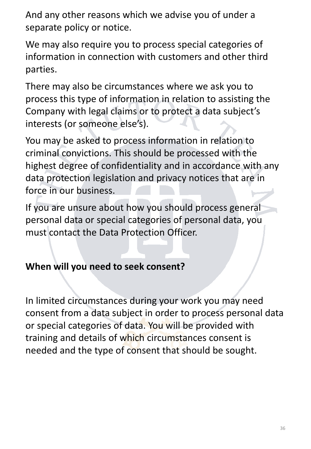And any other reasons which we advise you of under a separate policy or notice.

We may also require you to process special categories of information in connection with customers and other third parties.

There may also be circumstances where we ask you to process this type of information in relation to assisting the Company with legal claims or to protect a data subject's interests (or someone else's).

You may be asked to process information in relation to criminal convictions. This should be processed with the highest degree of confidentiality and in accordance with any data protection legislation and privacy notices that are in force in our business.

If you are unsure about how you should process general personal data or special categories of personal data, you must contact the Data Protection Officer.

### **When will you need to seek consent?**

In limited circumstances during your work you may need consent from a data subject in order to process personal data or special categories of data. You will be provided with training and details of which circumstances consent is needed and the type of consent that should be sought.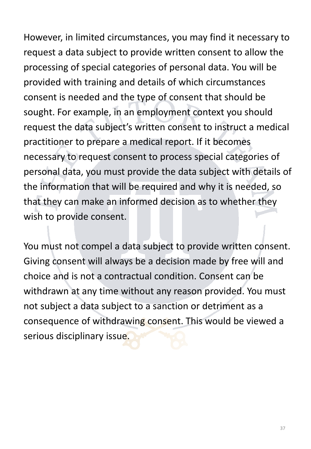However, in limited circumstances, you may find it necessary to request a data subject to provide written consent to allow the processing of special categories of personal data. You will be provided with training and details of which circumstances consent is needed and the type of consent that should be sought. For example, in an employment context you should request the data subject's written consent to instruct a medical practitioner to prepare a medical report. If it becomes necessary to request consent to process special categories of personal data, you must provide the data subject with details of the information that will be required and why it is needed, so that they can make an informed decision as to whether they wish to provide consent.

You must not compel a data subject to provide written consent. Giving consent will always be a decision made by free will and choice and is not a contractual condition. Consent can be withdrawn at any time without any reason provided. You must not subject a data subject to a sanction or detriment as a consequence of withdrawing consent. This would be viewed a serious disciplinary issue.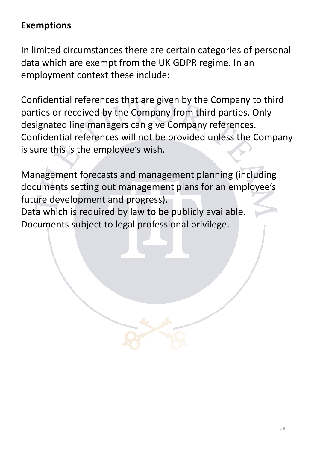### **Exemptions**

In limited circumstances there are certain categories of personal data which are exempt from the UK GDPR regime. In an employment context these include:

Confidential references that are given by the Company to third parties or received by the Company from third parties. Only designated line managers can give Company references. Confidential references will not be provided unless the Company is sure this is the employee's wish.

Management forecasts and management planning (including documents setting out management plans for an employee's future development and progress). Data which is required by law to be publicly available.

Documents subject to legal professional privilege.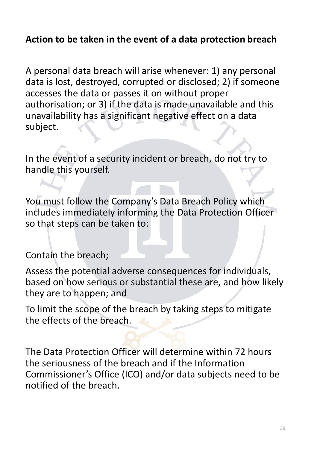### **Action to be taken in the event of a data protection breach**

A personal data breach will arise whenever: 1) any personal data is lost, destroyed, corrupted or disclosed; 2) if someone accesses the data or passes it on without proper authorisation; or 3) if the data is made unavailable and this unavailability has a significant negative effect on a data subject.

In the event of a security incident or breach, do not try to handle this yourself.

You must follow the Company's Data Breach Policy which includes immediately informing the Data Protection Officer so that steps can be taken to:

Contain the breach;

Assess the potential adverse consequences for individuals, based on how serious or substantial these are, and how likely they are to happen; and

To limit the scope of the breach by taking steps to mitigate the effects of the breach.

The Data Protection Officer will determine within 72 hours the seriousness of the breach and if the Information Commissioner's Office (ICO) and/or data subjects need to be notified of the breach.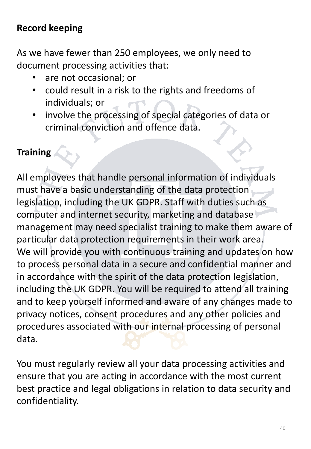## **Record keeping**

As we have fewer than 250 employees, we only need to document processing activities that:

- are not occasional; or
- could result in a risk to the rights and freedoms of individuals; or
- involve the processing of special categories of data or criminal conviction and offence data.

## **Training**

All employees that handle personal information of individuals must have a basic understanding of the data protection legislation, including the UK GDPR. Staff with duties such as computer and internet security, marketing and database management may need specialist training to make them aware of particular data protection requirements in their work area. We will provide you with continuous training and updates on how to process personal data in a secure and confidential manner and in accordance with the spirit of the data protection legislation, including the UK GDPR. You will be required to attend all training and to keep yourself informed and aware of any changes made to privacy notices, consent procedures and any other policies and procedures associated with our internal processing of personal data.

You must regularly review all your data processing activities and ensure that you are acting in accordance with the most current best practice and legal obligations in relation to data security and confidentiality.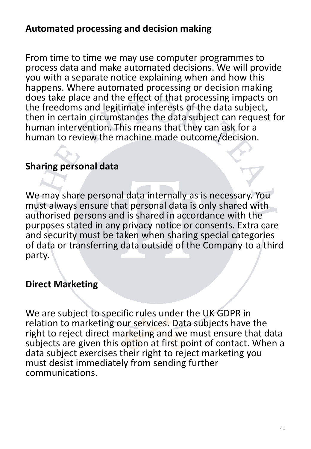### **Automated processing and decision making**

From time to time we may use computer programmes to process data and make automated decisions. We will provide you with a separate notice explaining when and how this happens. Where automated processing or decision making does take place and the effect of that processing impacts on the freedoms and legitimate interests of the data subject, then in certain circumstances the data subject can request for human intervention. This means that they can ask for a human to review the machine made outcome/decision.

### **Sharing personal data**

We may share personal data internally as is necessary. You must always ensure that personal data is only shared with authorised persons and is shared in accordance with the purposes stated in any privacy notice or consents. Extra care and security must be taken when sharing special categories of data or transferring data outside of the Company to a third party.

### **Direct Marketing**

We are subject to specific rules under the UK GDPR in relation to marketing our services. Data subjects have the right to reject direct marketing and we must ensure that data subjects are given this option at first point of contact. When a data subject exercises their right to reject marketing you must desist immediately from sending further communications.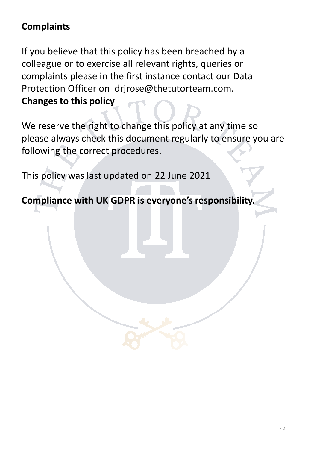## **Complaints**

If you believe that this policy has been breached by a colleague or to exercise all relevant rights, queries or complaints please in the first instance contact our Data Protection Officer on drjrose@thetutorteam.com. **Changes to this policy**

We reserve the right to change this policy at any time so please always check this document regularly to ensure you are following the correct procedures.

This policy was last updated on 22 June 2021

**Compliance with UK GDPR is everyone's responsibility.**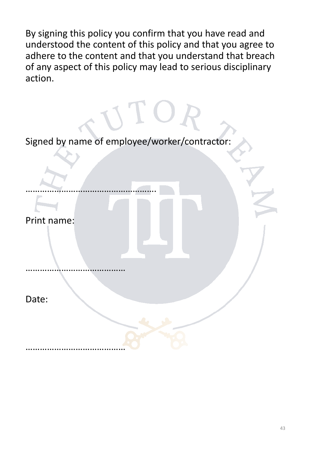By signing this policy you confirm that you have read and understood the content of this policy and that you agree to adhere to the content and that you understand that breach of any aspect of this policy may lead to serious disciplinary action.

Signed by name of employee/worker/contractor:

UTO.

Print name:

……………………………………

……………………………………

……………………………………………….

Date: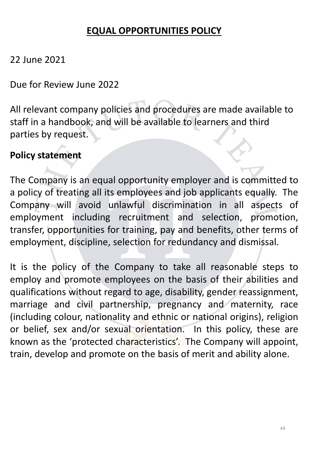### **EQUAL OPPORTUNITIES POLICY**

### 22 June 2021

Due for Review June 2022

All relevant company policies and procedures are made available to staff in a handbook, and will be available to learners and third parties by request.

### **Policy statement**

The Company is an equal opportunity employer and is committed to a policy of treating all its employees and job applicants equally. The Company will avoid unlawful discrimination in all aspects of employment including recruitment and selection, promotion, transfer, opportunities for training, pay and benefits, other terms of employment, discipline, selection for redundancy and dismissal.

It is the policy of the Company to take all reasonable steps to employ and promote employees on the basis of their abilities and qualifications without regard to age, disability, gender reassignment, marriage and civil partnership, pregnancy and maternity, race (including colour, nationality and ethnic or national origins), religion or belief, sex and/or sexual orientation. In this policy, these are known as the 'protected characteristics'. The Company will appoint, train, develop and promote on the basis of merit and ability alone.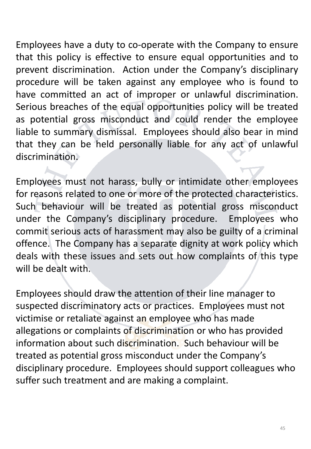Employees have a duty to co-operate with the Company to ensure that this policy is effective to ensure equal opportunities and to prevent discrimination. Action under the Company's disciplinary procedure will be taken against any employee who is found to have committed an act of improper or unlawful discrimination. Serious breaches of the equal opportunities policy will be treated as potential gross misconduct and could render the employee liable to summary dismissal. Employees should also bear in mind that they can be held personally liable for any act of unlawful

discrimination.

Employees must not harass, bully or intimidate other employees for reasons related to one or more of the protected characteristics. Such behaviour will be treated as potential gross misconduct under the Company's disciplinary procedure. Employees who commit serious acts of harassment may also be guilty of a criminal offence. The Company has a separate dignity at work policy which deals with these issues and sets out how complaints of this type will be dealt with.

Employees should draw the attention of their line manager to suspected discriminatory acts or practices. Employees must not victimise or retaliate against an employee who has made allegations or complaints of discrimination or who has provided information about such discrimination. Such behaviour will be treated as potential gross misconduct under the Company's disciplinary procedure. Employees should support colleagues who suffer such treatment and are making a complaint.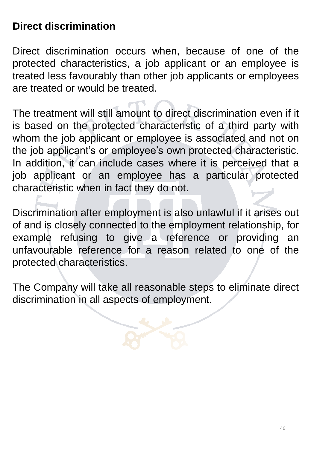## **Direct discrimination**

Direct discrimination occurs when, because of one of the protected characteristics, a job applicant or an employee is treated less favourably than other job applicants or employees are treated or would be treated.

The treatment will still amount to direct discrimination even if it is based on the protected characteristic of a third party with whom the job applicant or employee is associated and not on the job applicant's or employee's own protected characteristic. In addition, it can include cases where it is perceived that a job applicant or an employee has a particular protected characteristic when in fact they do not.

Discrimination after employment is also unlawful if it arises out of and is closely connected to the employment relationship, for example refusing to give a reference or providing an unfavourable reference for a reason related to one of the protected characteristics.

The Company will take all reasonable steps to eliminate direct discrimination in all aspects of employment.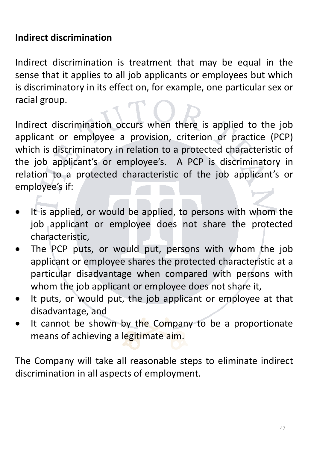### **Indirect discrimination**

Indirect discrimination is treatment that may be equal in the sense that it applies to all job applicants or employees but which is discriminatory in its effect on, for example, one particular sex or racial group.

Indirect discrimination occurs when there is applied to the job applicant or employee a provision, criterion or practice (PCP) which is discriminatory in relation to a protected characteristic of the job applicant's or employee's. A PCP is discriminatory in relation to a protected characteristic of the job applicant's or employee's if:

- It is applied, or would be applied, to persons with whom the job applicant or employee does not share the protected characteristic,
- The PCP puts, or would put, persons with whom the job applicant or employee shares the protected characteristic at a particular disadvantage when compared with persons with whom the job applicant or employee does not share it,
- It puts, or would put, the job applicant or employee at that disadvantage, and
- It cannot be shown by the Company to be a proportionate means of achieving a legitimate aim.

The Company will take all reasonable steps to eliminate indirect discrimination in all aspects of employment.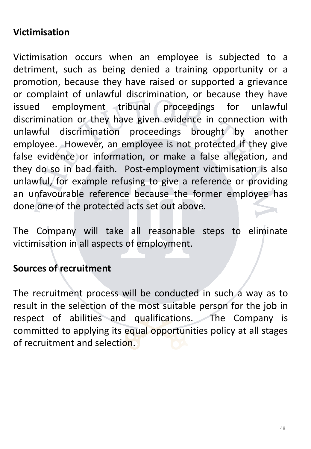### **Victimisation**

Victimisation occurs when an employee is subjected to a detriment, such as being denied a training opportunity or a promotion, because they have raised or supported a grievance or complaint of unlawful discrimination, or because they have issued employment tribunal proceedings for unlawful discrimination or they have given evidence in connection with unlawful discrimination proceedings brought by another employee. However, an employee is not protected if they give false evidence or information, or make a false allegation, and they do so in bad faith. Post-employment victimisation is also unlawful, for example refusing to give a reference or providing an unfavourable reference because the former employee has done one of the protected acts set out above.

The Company will take all reasonable steps to eliminate victimisation in all aspects of employment.

### **Sources of recruitment**

The recruitment process will be conducted in such a way as to result in the selection of the most suitable person for the job in respect of abilities and qualifications. The Company is committed to applying its equal opportunities policy at all stages of recruitment and selection.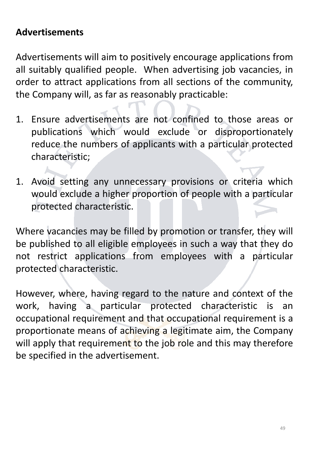### **Advertisements**

Advertisements will aim to positively encourage applications from all suitably qualified people. When advertising job vacancies, in order to attract applications from all sections of the community, the Company will, as far as reasonably practicable:

- 1. Ensure advertisements are not confined to those areas or publications which would exclude or disproportionately reduce the numbers of applicants with a particular protected characteristic;
- 1. Avoid setting any unnecessary provisions or criteria which would exclude a higher proportion of people with a particular protected characteristic.

Where vacancies may be filled by promotion or transfer, they will be published to all eligible employees in such a way that they do not restrict applications from employees with a particular protected characteristic.

However, where, having regard to the nature and context of the work, having a particular protected characteristic is an occupational requirement and that occupational requirement is a proportionate means of achieving a legitimate aim, the Company will apply that requirement to the job role and this may therefore be specified in the advertisement.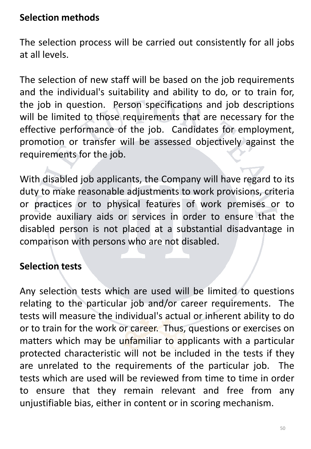### **Selection methods**

The selection process will be carried out consistently for all jobs at all levels.

The selection of new staff will be based on the job requirements and the individual's suitability and ability to do, or to train for, the job in question. Person specifications and job descriptions will be limited to those requirements that are necessary for the effective performance of the job. Candidates for employment, promotion or transfer will be assessed objectively against the requirements for the job.

With disabled job applicants, the Company will have regard to its duty to make reasonable adjustments to work provisions, criteria or practices or to physical features of work premises or to provide auxiliary aids or services in order to ensure that the disabled person is not placed at a substantial disadvantage in comparison with persons who are not disabled.

### **Selection tests**

Any selection tests which are used will be limited to questions relating to the particular job and/or career requirements. The tests will measure the individual's actual or inherent ability to do or to train for the work or career. Thus, questions or exercises on matters which may be unfamiliar to applicants with a particular protected characteristic will not be included in the tests if they are unrelated to the requirements of the particular job. The tests which are used will be reviewed from time to time in order to ensure that they remain relevant and free from any unjustifiable bias, either in content or in scoring mechanism.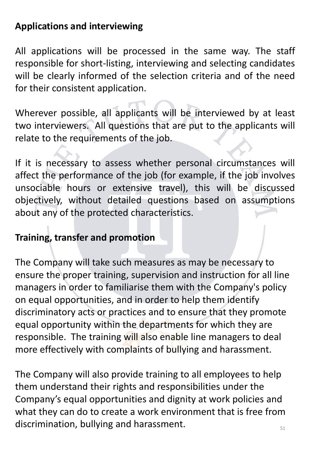### **Applications and interviewing**

All applications will be processed in the same way. The staff responsible for short-listing, interviewing and selecting candidates will be clearly informed of the selection criteria and of the need for their consistent application.

Wherever possible, all applicants will be interviewed by at least two interviewers. All questions that are put to the applicants will relate to the requirements of the job.

If it is necessary to assess whether personal circumstances will affect the performance of the job (for example, if the job involves unsociable hours or extensive travel), this will be discussed objectively, without detailed questions based on assumptions about any of the protected characteristics.

### **Training, transfer and promotion**

The Company will take such measures as may be necessary to ensure the proper training, supervision and instruction for all line managers in order to familiarise them with the Company's policy on equal opportunities, and in order to help them identify discriminatory acts or practices and to ensure that they promote equal opportunity within the departments for which they are responsible. The training will also enable line managers to deal more effectively with complaints of bullying and harassment.

51 The Company will also provide training to all employees to help them understand their rights and responsibilities under the Company's equal opportunities and dignity at work policies and what they can do to create a work environment that is free from discrimination, bullying and harassment.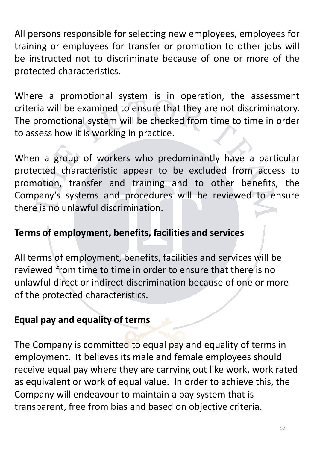All persons responsible for selecting new employees, employees for training or employees for transfer or promotion to other jobs will be instructed not to discriminate because of one or more of the protected characteristics.

Where a promotional system is in operation, the assessment criteria will be examined to ensure that they are not discriminatory. The promotional system will be checked from time to time in order to assess how it is working in practice.

When a group of workers who predominantly have a particular protected characteristic appear to be excluded from access to promotion, transfer and training and to other benefits, the Company's systems and procedures will be reviewed to ensure there is no unlawful discrimination.

### **Terms of employment, benefits, facilities and services**

All terms of employment, benefits, facilities and services will be reviewed from time to time in order to ensure that there is no unlawful direct or indirect discrimination because of one or more of the protected characteristics.

### **Equal pay and equality of terms**

The Company is committed to equal pay and equality of terms in employment. It believes its male and female employees should receive equal pay where they are carrying out like work, work rated as equivalent or work of equal value. In order to achieve this, the Company will endeavour to maintain a pay system that is transparent, free from bias and based on objective criteria.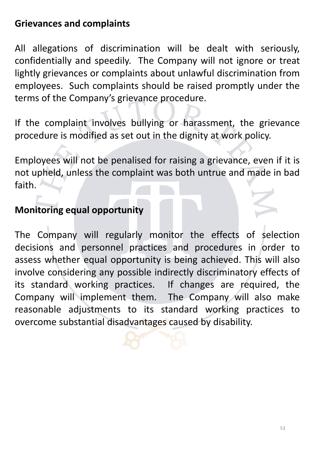### **Grievances and complaints**

All allegations of discrimination will be dealt with seriously, confidentially and speedily. The Company will not ignore or treat lightly grievances or complaints about unlawful discrimination from employees. Such complaints should be raised promptly under the terms of the Company's grievance procedure.

If the complaint involves bullying or harassment, the grievance procedure is modified as set out in the dignity at work policy.

Employees will not be penalised for raising a grievance, even if it is not upheld, unless the complaint was both untrue and made in bad faith.

### **Monitoring equal opportunity**

The Company will regularly monitor the effects of selection decisions and personnel practices and procedures in order to assess whether equal opportunity is being achieved. This will also involve considering any possible indirectly discriminatory effects of its standard working practices. If changes are required, the Company will implement them. The Company will also make reasonable adjustments to its standard working practices to overcome substantial disadvantages caused by disability.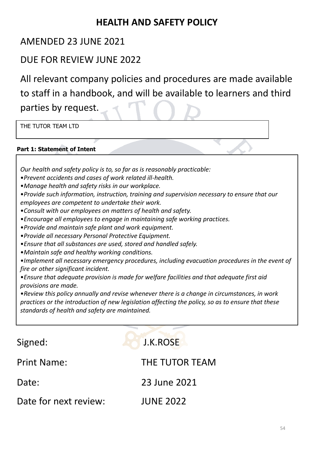### **HEALTH AND SAFETY POLICY**

### AMENDED 23 JUNE 2021

### DUE FOR REVIEW JUNE 2022

All relevant company policies and procedures are made available to staff in a handbook, and will be available to learners and third parties by request.

THE TUTOR TEAM LTD

### **Part 1: Statement of Intent**

*Our health and safety policy is to, so far as is reasonably practicable:*

- •*Prevent accidents and cases of work related ill-health.*
- •*Manage health and safety risks in our workplace.*
- •*Provide such information, instruction, training and supervision necessary to ensure that our employees are competent to undertake their work.*
- •*Consult with our employees on matters of health and safety.*
- •*Encourage all employees to engage in maintaining safe working practices.*
- •*Provide and maintain safe plant and work equipment.*
- •*Provide all necessary Personal Protective Equipment.*
- •*Ensure that all substances are used, stored and handled safely.*
- •*Maintain safe and healthy working conditions.*

•*Implement all necessary emergency procedures, including evacuation procedures in the event of fire or other significant incident.*

•*Ensure that adequate provision is made for welfare facilities and that adequate first aid provisions are made.*

•*Review this policy annually and revise whenever there is a change in circumstances, in work practices or the introduction of new legislation affecting the policy, so as to ensure that these standards of health and safety are maintained.*

| Signed:               | J.K.ROSE         |
|-----------------------|------------------|
| <b>Print Name:</b>    | THE TUTOR TEAM   |
| Date:                 | 23 June 2021     |
| Date for next review: | <b>JUNE 2022</b> |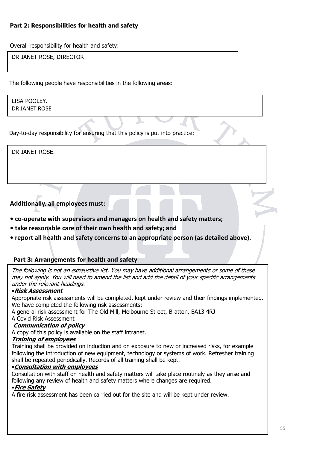#### **Part 2: Responsibilities for health and safety**

Overall responsibility for health and safety:

DR JANET ROSE, DIRECTOR

The following people have responsibilities in the following areas:

LISA POOLEY*.* DR JANET ROSE

Day-to-day responsibility for ensuring that this policy is put into practice:

DR JANET ROSE.

### **Additionally, all employees must:**

- **• co-operate with supervisors and managers on health and safety matters;**
- **• take reasonable care of their own health and safety; and**
- **• report all health and safety concerns to an appropriate person (as detailed above).**

#### **Part 3: Arrangements for health and safety**

The following is not an exhaustive list. You may have additional arrangements or some of these may not apply. You will need to amend the list and add the detail of your specific arrangements under the relevant headings.

#### •**Risk Assessment**

Appropriate risk assessments will be completed, kept under review and their findings implemented. We have completed the following risk assessments:

A general risk assessment for The Old Mill, Melbourne Street, Bratton, BA13 4RJ A Covid Risk Assessment

#### **Communication of policy**

A copy of this policy is available on the staff intranet.

#### **Training of employees**

Training shall be provided on induction and on exposure to new or increased risks, for example following the introduction of new equipment, technology or systems of work. Refresher training shall be repeated periodically. Records of all training shall be kept.

#### •**Consultation with employees**

Consultation with staff on health and safety matters will take place routinely as they arise and following any review of health and safety matters where changes are required.

#### •**Fire Safety**

A fire risk assessment has been carried out for the site and will be kept under review.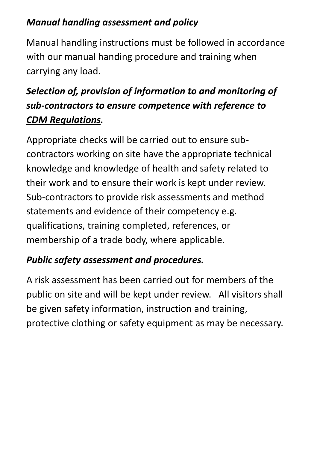## *Manual handling assessment and policy*

Manual handling instructions must be followed in accordance with our manual handing procedure and training when carrying any load.

# *Selection of, provision of information to and monitoring of sub-contractors to ensure competence with reference to CDM Regulations.*

Appropriate checks will be carried out to ensure subcontractors working on site have the appropriate technical knowledge and knowledge of health and safety related to their work and to ensure their work is kept under review. Sub-contractors to provide risk assessments and method statements and evidence of their competency e.g. qualifications, training completed, references, or membership of a trade body, where applicable.

## *Public safety assessment and procedures.*

A risk assessment has been carried out for members of the public on site and will be kept under review. All visitors shall be given safety information, instruction and training, protective clothing or safety equipment as may be necessary.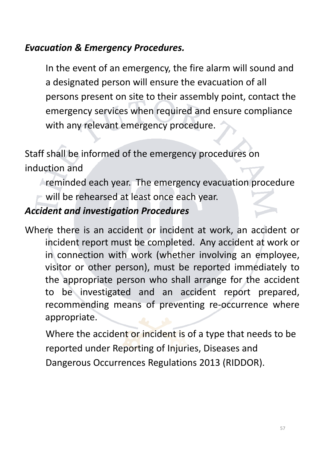### *Evacuation & Emergency Procedures.*

In the event of an emergency, the fire alarm will sound and a designated person will ensure the evacuation of all persons present on site to their assembly point, contact the emergency services when required and ensure compliance with any relevant emergency procedure.

Staff shall be informed of the emergency procedures on induction and

reminded each year. The emergency evacuation procedure

will be rehearsed at least once each year.

### *Accident and investigation Procedures*

Where there is an accident or incident at work, an accident or incident report must be completed. Any accident at work or in connection with work (whether involving an employee, visitor or other person), must be reported immediately to the appropriate person who shall arrange for the accident to be investigated and an accident report prepared, recommending means of preventing re-occurrence where appropriate.

Where the accident or incident is of a type that needs to be reported under Reporting of Injuries, Diseases and Dangerous Occurrences Regulations 2013 (RIDDOR).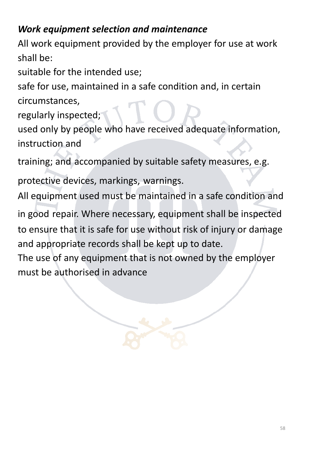## *Work equipment selection and maintenance*

All work equipment provided by the employer for use at work shall be:

suitable for the intended use;

safe for use, maintained in a safe condition and, in certain circumstances,

regularly inspected;

used only by people who have received adequate information, instruction and

training; and accompanied by suitable safety measures, e.g.

protective devices, markings, warnings.

All equipment used must be maintained in a safe condition and

in good repair. Where necessary, equipment shall be inspected to ensure that it is safe for use without risk of injury or damage and appropriate records shall be kept up to date.

The use of any equipment that is not owned by the employer must be authorised in advance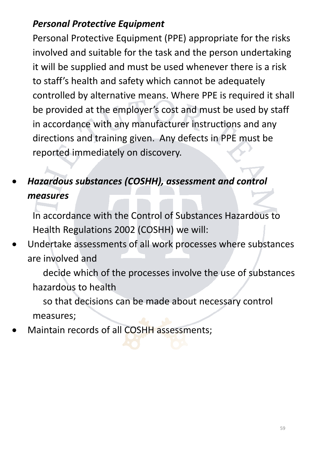## *Personal Protective Equipment*

Personal Protective Equipment (PPE) appropriate for the risks involved and suitable for the task and the person undertaking it will be supplied and must be used whenever there is a risk to staff's health and safety which cannot be adequately controlled by alternative means. Where PPE is required it shall be provided at the employer's cost and must be used by staff in accordance with any manufacturer instructions and any directions and training given. Any defects in PPE must be reported immediately on discovery.

# • *Hazardous substances (COSHH), assessment and control measures*

In accordance with the Control of Substances Hazardous to Health Regulations 2002 (COSHH) we will:

• Undertake assessments of all work processes where substances are involved and

decide which of the processes involve the use of substances hazardous to health

so that decisions can be made about necessary control measures;

Maintain records of all COSHH assessments;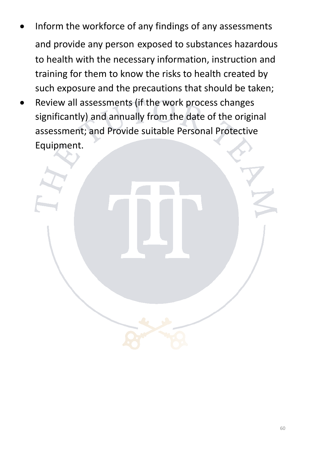- Inform the workforce of any findings of any assessments and provide any person exposed to substances hazardous to health with the necessary information, instruction and training for them to know the risks to health created by such exposure and the precautions that should be taken;
- Review all assessments (if the work process changes significantly) and annually from the date of the original assessment; and Provide suitable Personal Protective Equipment.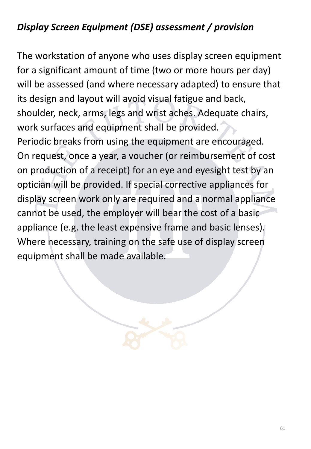## *Display Screen Equipment (DSE) assessment / provision*

The workstation of anyone who uses display screen equipment for a significant amount of time (two or more hours per day) will be assessed (and where necessary adapted) to ensure that its design and layout will avoid visual fatigue and back, shoulder, neck, arms, legs and wrist aches. Adequate chairs, work surfaces and equipment shall be provided.

Periodic breaks from using the equipment are encouraged. On request, once a year, a voucher (or reimbursement of cost on production of a receipt) for an eye and eyesight test by an optician will be provided. If special corrective appliances for display screen work only are required and a normal appliance cannot be used, the employer will bear the cost of a basic appliance (e.g. the least expensive frame and basic lenses). Where necessary, training on the safe use of display screen equipment shall be made available.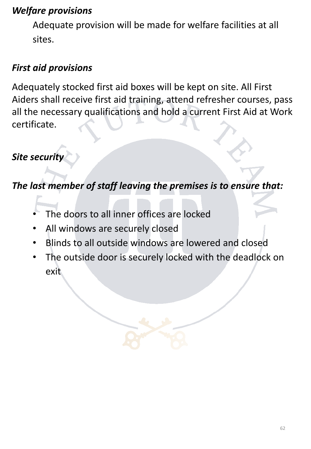### *Welfare provisions*

Adequate provision will be made for welfare facilities at all sites.

## *First aid provisions*

Adequately stocked first aid boxes will be kept on site. All First Aiders shall receive first aid training, attend refresher courses, pass all the necessary qualifications and hold a current First Aid at Work certificate.

## *Site security*

*The last member of staff leaving the premises is to ensure that:*

- The doors to all inner offices are locked
- All windows are securely closed
- Blinds to all outside windows are lowered and closed
- The outside door is securely locked with the deadlock on exit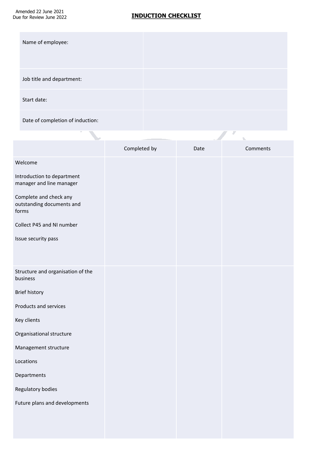Amended 22 June 2021 Due for Review June 2022

### **INDUCTION CHECKLIST**

 $\overline{y}$  $\overline{\mathscr{S}}$ 

| Name of employee:         |  |
|---------------------------|--|
| Job title and department: |  |
| Start date:               |  |
|                           |  |

Date of completion of induction:

|                                                              |              |      | J        |
|--------------------------------------------------------------|--------------|------|----------|
|                                                              | Completed by | Date | Comments |
| Welcome                                                      |              |      |          |
| Introduction to department<br>manager and line manager       |              |      |          |
| Complete and check any<br>outstanding documents and<br>forms |              |      |          |
| Collect P45 and NI number                                    |              |      |          |
| Issue security pass                                          |              |      |          |
| Structure and organisation of the<br>business                |              |      |          |
| Brief history                                                |              |      |          |
| Products and services                                        |              |      |          |
| Key clients                                                  |              |      |          |
| Organisational structure                                     |              |      |          |
| Management structure                                         |              |      |          |
| Locations                                                    |              |      |          |
| Departments                                                  |              |      |          |
| Regulatory bodies                                            |              |      |          |
| Future plans and developments                                |              |      |          |
|                                                              |              |      |          |
|                                                              |              |      |          |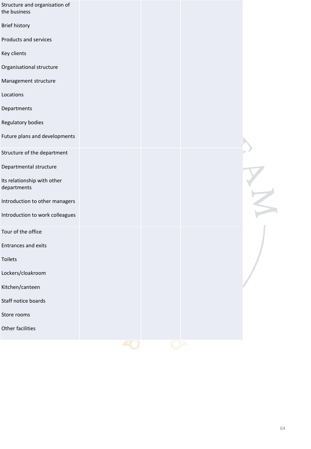| Structure and organisation of<br>the business |  |             |
|-----------------------------------------------|--|-------------|
| <b>Brief history</b>                          |  |             |
| Products and services                         |  |             |
| Key clients                                   |  |             |
| Organisational structure                      |  |             |
| Management structure                          |  |             |
| Locations                                     |  |             |
| Departments                                   |  |             |
| Regulatory bodies                             |  |             |
| Future plans and developments                 |  |             |
| Structure of the department                   |  |             |
| Departmental structure                        |  |             |
| Its relationship with other<br>departments    |  | $M^{\star}$ |
| Introduction to other managers                |  |             |
| Introduction to work colleagues               |  |             |
| Tour of the office                            |  |             |
| <b>Entrances and exits</b>                    |  |             |
| Toilets                                       |  |             |
| Lockers/cloakroom                             |  |             |
| Kitchen/canteen                               |  |             |
| Staff notice boards                           |  |             |
| Store rooms                                   |  |             |
| Other facilities                              |  |             |
|                                               |  |             |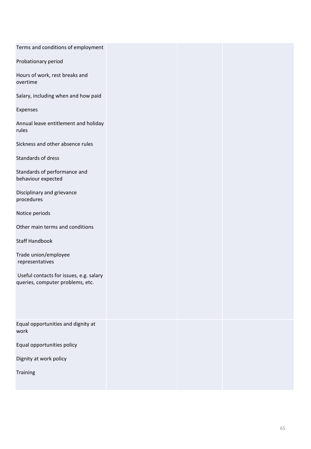| Terms and conditions of employment                 |
|----------------------------------------------------|
| Probationary period                                |
| Hours of work, rest breaks and<br>overtime         |
| Salary, including when and how paid                |
| Expenses                                           |
| Annual leave entitlement and holiday<br>rules      |
| Sickness and other absence rules                   |
| Standards of dress                                 |
| Standards of performance and<br>behaviour expected |
| Disciplinary and grievance<br>procedures           |
| Notice periods                                     |
| Other main terms and conditions                    |
| <b>Staff Handbook</b>                              |
| Trade union/employee<br>representatives            |
| Useful contacts for issues, e.g. salary            |
| queries, computer problems, etc.                   |
|                                                    |
| Equal opportunities and dignity at                 |
| work                                               |
| Equal opportunities policy                         |
| Dignity at work policy                             |
| Training                                           |
|                                                    |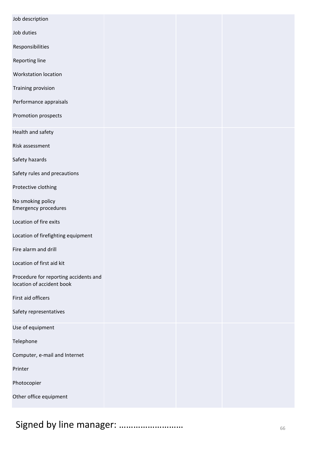| Job description                                                    |  |  |
|--------------------------------------------------------------------|--|--|
| Job duties                                                         |  |  |
| Responsibilities                                                   |  |  |
| Reporting line                                                     |  |  |
| <b>Workstation location</b>                                        |  |  |
| <b>Training provision</b>                                          |  |  |
| Performance appraisals                                             |  |  |
| Promotion prospects                                                |  |  |
| Health and safety                                                  |  |  |
| Risk assessment                                                    |  |  |
| Safety hazards                                                     |  |  |
| Safety rules and precautions                                       |  |  |
| Protective clothing                                                |  |  |
| No smoking policy<br><b>Emergency procedures</b>                   |  |  |
| Location of fire exits                                             |  |  |
| Location of firefighting equipment                                 |  |  |
| Fire alarm and drill                                               |  |  |
| Location of first aid kit                                          |  |  |
| Procedure for reporting accidents and<br>location of accident book |  |  |
| First aid officers                                                 |  |  |
| Safety representatives                                             |  |  |
| Use of equipment                                                   |  |  |
| Telephone                                                          |  |  |
| Computer, e-mail and Internet                                      |  |  |
| Printer                                                            |  |  |
| Photocopier                                                        |  |  |
| Other office equipment                                             |  |  |
|                                                                    |  |  |

# Signed by line manager: ………………………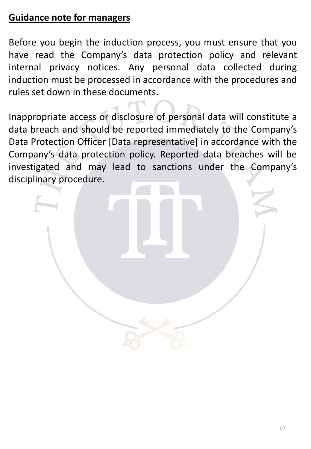### **Guidance note for managers**

Before you begin the induction process, you must ensure that you have read the Company's data protection policy and relevant internal privacy notices. Any personal data collected during induction must be processed in accordance with the procedures and rules set down in these documents.

Inappropriate access or disclosure of personal data will constitute a data breach and should be reported immediately to the Company's Data Protection Officer [Data representative] in accordance with the Company's data protection policy. Reported data breaches will be investigated and may lead to sanctions under the Company's disciplinary procedure.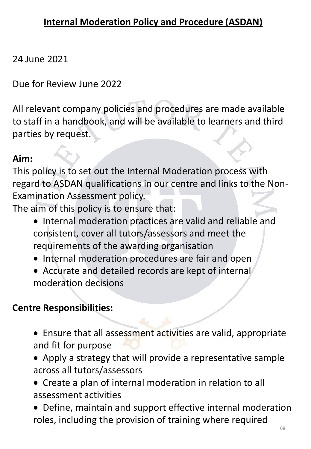### 24 June 2021

Due for Review June 2022

All relevant company policies and procedures are made available to staff in a handbook, and will be available to learners and third parties by request.

### **Aim:**

This policy is to set out the Internal Moderation process with regard to ASDAN qualifications in our centre and links to the Non-Examination Assessment policy.

The aim of this policy is to ensure that:

- Internal moderation practices are valid and reliable and consistent, cover all tutors/assessors and meet the requirements of the awarding organisation
- Internal moderation procedures are fair and open
- Accurate and detailed records are kept of internal moderation decisions

### **Centre Responsibilities:**

- Ensure that all assessment activities are valid, appropriate and fit for purpose
- Apply a strategy that will provide a representative sample across all tutors/assessors
- Create a plan of internal moderation in relation to all assessment activities
- Define, maintain and support effective internal moderation roles, including the provision of training where required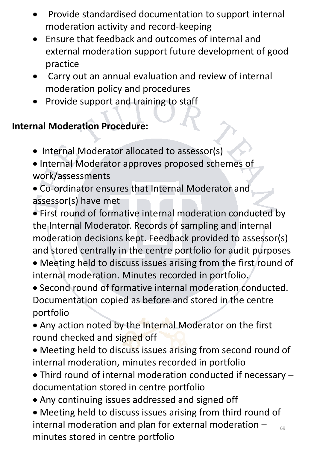- Provide standardised documentation to support internal moderation activity and record-keeping
- Ensure that feedback and outcomes of internal and external moderation support future development of good practice
- Carry out an annual evaluation and review of internal moderation policy and procedures
- Provide support and training to staff

## **Internal Moderation Procedure:**

- Internal Moderator allocated to assessor(s)
- Internal Moderator approves proposed schemes of work/assessments
- Co-ordinator ensures that Internal Moderator and assessor(s) have met
- First round of formative internal moderation conducted by the Internal Moderator. Records of sampling and internal moderation decisions kept. Feedback provided to assessor(s) and stored centrally in the centre portfolio for audit purposes
- Meeting held to discuss issues arising from the first round of internal moderation. Minutes recorded in portfolio.
- Second round of formative internal moderation conducted. Documentation copied as before and stored in the centre portfolio
- Any action noted by the Internal Moderator on the first round checked and signed off
- Meeting held to discuss issues arising from second round of internal moderation, minutes recorded in portfolio
- Third round of internal moderation conducted if necessary documentation stored in centre portfolio
- Any continuing issues addressed and signed off
- 69 • Meeting held to discuss issues arising from third round of internal moderation and plan for external moderation – minutes stored in centre portfolio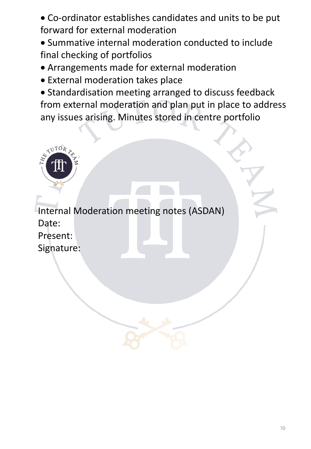• Co-ordinator establishes candidates and units to be put forward for external moderation

- Summative internal moderation conducted to include final checking of portfolios
- Arrangements made for external moderation
- External moderation takes place
- Standardisation meeting arranged to discuss feedback from external moderation and plan put in place to address any issues arising. Minutes stored in centre portfolio



Internal Moderation meeting notes (ASDAN) Date: Present: Signature: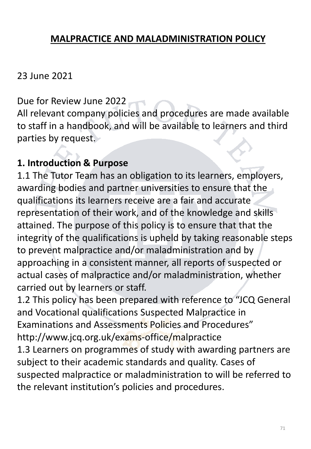### **MALPRACTICE AND MALADMINISTRATION POLICY**

### 23 June 2021

Due for Review June 2022

All relevant company policies and procedures are made available to staff in a handbook, and will be available to learners and third parties by request.

### **1. Introduction & Purpose**

1.1 The Tutor Team has an obligation to its learners, employers, awarding bodies and partner universities to ensure that the qualifications its learners receive are a fair and accurate representation of their work, and of the knowledge and skills attained. The purpose of this policy is to ensure that that the integrity of the qualifications is upheld by taking reasonable steps to prevent malpractice and/or maladministration and by approaching in a consistent manner, all reports of suspected or actual cases of malpractice and/or maladministration, whether carried out by learners or staff.

1.2 This policy has been prepared with reference to "JCQ General and Vocational qualifications Suspected Malpractice in Examinations and Assessments Policies and Procedures" http://www.jcq.org.uk/exams-office/malpractice

1.3 Learners on programmes of study with awarding partners are subject to their academic standards and quality. Cases of suspected malpractice or maladministration to will be referred to the relevant institution's policies and procedures.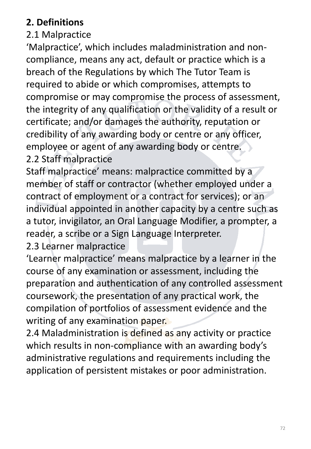## **2. Definitions**

## 2.1 Malpractice

'Malpractice', which includes maladministration and noncompliance, means any act, default or practice which is a breach of the Regulations by which The Tutor Team is required to abide or which compromises, attempts to compromise or may compromise the process of assessment, the integrity of any qualification or the validity of a result or certificate; and/or damages the authority, reputation or credibility of any awarding body or centre or any officer, employee or agent of any awarding body or centre.

2.2 Staff malpractice

Staff malpractice' means: malpractice committed by a member of staff or contractor (whether employed under a contract of employment or a contract for services); or an individual appointed in another capacity by a centre such as a tutor, invigilator, an Oral Language Modifier, a prompter, a reader, a scribe or a Sign Language Interpreter.

2.3 Learner malpractice

'Learner malpractice' means malpractice by a learner in the course of any examination or assessment, including the preparation and authentication of any controlled assessment coursework, the presentation of any practical work, the compilation of portfolios of assessment evidence and the writing of any examination paper.

2.4 Maladministration is defined as any activity or practice which results in non-compliance with an awarding body's administrative regulations and requirements including the application of persistent mistakes or poor administration.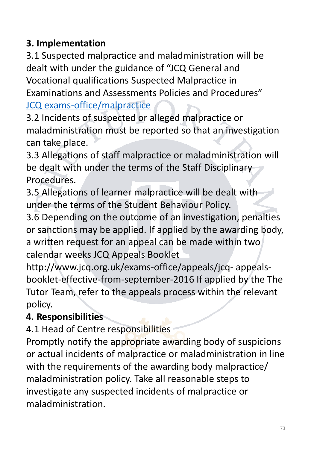## **3. Implementation**

3.1 Suspected malpractice and maladministration will be dealt with under the guidance of "JCQ General and Vocational qualifications Suspected Malpractice in Examinations and Assessments Policies and Procedures" [JCQ exams-office/malpractice](http://www.jcq.org.uk/exams-office/malpractice)

3.2 Incidents of suspected or alleged malpractice or maladministration must be reported so that an investigation can take place.

3.3 Allegations of staff malpractice or maladministration will be dealt with under the terms of the Staff Disciplinary Procedures.

3.5 Allegations of learner malpractice will be dealt with under the terms of the Student Behaviour Policy.

3.6 Depending on the outcome of an investigation, penalties or sanctions may be applied. If applied by the awarding body, a written request for an appeal can be made within two calendar weeks JCQ Appeals Booklet

http://www.jcq.org.uk/exams-office/appeals/jcq- appealsbooklet-effective-from-september-2016 If applied by the The Tutor Team, refer to the appeals process within the relevant policy.

## **4. Responsibilities**

4.1 Head of Centre responsibilities

Promptly notify the appropriate awarding body of suspicions or actual incidents of malpractice or maladministration in line with the requirements of the awarding body malpractice/ maladministration policy. Take all reasonable steps to investigate any suspected incidents of malpractice or maladministration.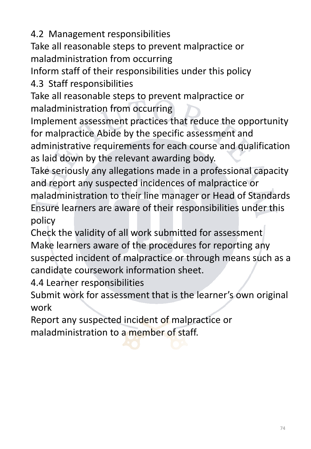4.2 Management responsibilities

Take all reasonable steps to prevent malpractice or maladministration from occurring

Inform staff of their responsibilities under this policy

4.3 Staff responsibilities

Take all reasonable steps to prevent malpractice or maladministration from occurring

Implement assessment practices that reduce the opportunity for malpractice Abide by the specific assessment and administrative requirements for each course and qualification as laid down by the relevant awarding body.

Take seriously any allegations made in a professional capacity and report any suspected incidences of malpractice or maladministration to their line manager or Head of Standards Ensure learners are aware of their responsibilities under this policy

Check the validity of all work submitted for assessment Make learners aware of the procedures for reporting any suspected incident of malpractice or through means such as a candidate coursework information sheet.

4.4 Learner responsibilities

Submit work for assessment that is the learner's own original work

Report any suspected incident of malpractice or maladministration to a member of staff.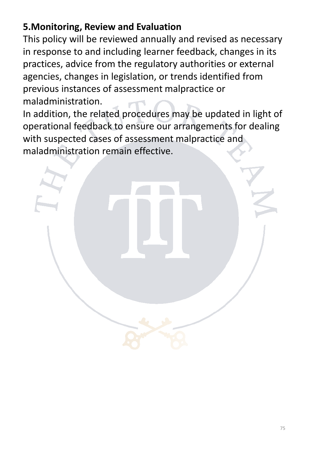## **5.Monitoring, Review and Evaluation**

This policy will be reviewed annually and revised as necessary in response to and including learner feedback, changes in its practices, advice from the regulatory authorities or external agencies, changes in legislation, or trends identified from previous instances of assessment malpractice or maladministration.

In addition, the related procedures may be updated in light of operational feedback to ensure our arrangements for dealing with suspected cases of assessment malpractice and maladministration remain effective.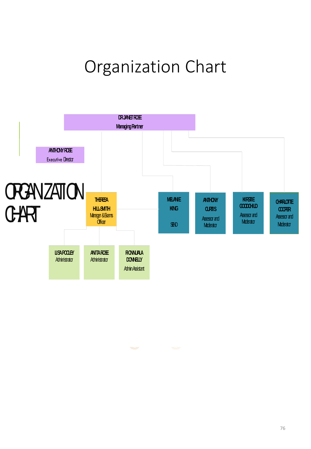# Organization Chart

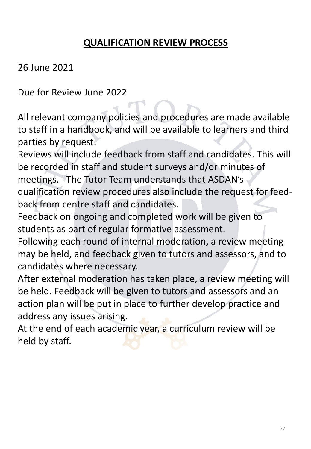## **QUALIFICATION REVIEW PROCESS**

26 June 2021

Due for Review June 2022

All relevant company policies and procedures are made available to staff in a handbook, and will be available to learners and third parties by request.

Reviews will include feedback from staff and candidates. This will be recorded in staff and student surveys and/or minutes of meetings. The Tutor Team understands that ASDAN's qualification review procedures also include the request for feedback from centre staff and candidates.

Feedback on ongoing and completed work will be given to students as part of regular formative assessment.

Following each round of internal moderation, a review meeting may be held, and feedback given to tutors and assessors, and to candidates where necessary.

After external moderation has taken place, a review meeting will be held. Feedback will be given to tutors and assessors and an action plan will be put in place to further develop practice and address any issues arising.

At the end of each academic year, a curriculum review will be held by staff.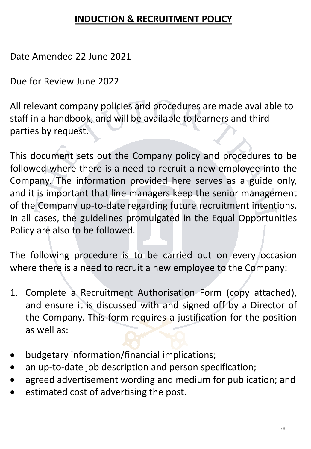### **INDUCTION & RECRUITMENT POLICY**

Date Amended 22 June 2021

Due for Review June 2022

All relevant company policies and procedures are made available to staff in a handbook, and will be available to learners and third parties by request.

This document sets out the Company policy and procedures to be followed where there is a need to recruit a new employee into the Company. The information provided here serves as a guide only, and it is important that line managers keep the senior management of the Company up-to-date regarding future recruitment intentions. In all cases, the guidelines promulgated in the Equal Opportunities Policy are also to be followed.

The following procedure is to be carried out on every occasion where there is a need to recruit a new employee to the Company:

- 1. Complete a Recruitment Authorisation Form (copy attached), and ensure it is discussed with and signed off by a Director of the Company. This form requires a justification for the position as well as:
- budgetary information/financial implications;
- an up-to-date job description and person specification;
- agreed advertisement wording and medium for publication; and
- estimated cost of advertising the post.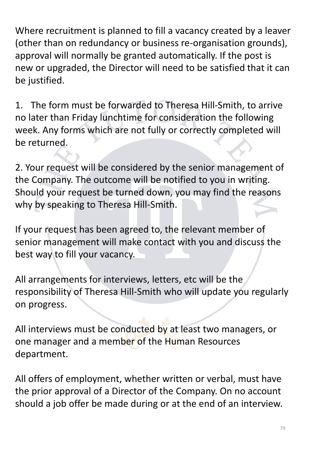Where recruitment is planned to fill a vacancy created by a leaver (other than on redundancy or business re-organisation grounds), approval will normally be granted automatically. If the post is new or upgraded, the Director will need to be satisfied that it can be justified.

1. The form must be forwarded to Theresa Hill-Smith, to arrive no later than Friday lunchtime for consideration the following week. Any forms which are not fully or correctly completed will be returned.

2. Your request will be considered by the senior management of the Company. The outcome will be notified to you in writing. Should your request be turned down, you may find the reasons why by speaking to Theresa Hill-Smith.

If your request has been agreed to, the relevant member of senior management will make contact with you and discuss the best way to fill your vacancy.

All arrangements for interviews, letters, etc will be the responsibility of Theresa Hill-Smith who will update you regularly on progress.

All interviews must be conducted by at least two managers, or one manager and a member of the Human Resources department.

All offers of employment, whether written or verbal, must have the prior approval of a Director of the Company. On no account should a job offer be made during or at the end of an interview.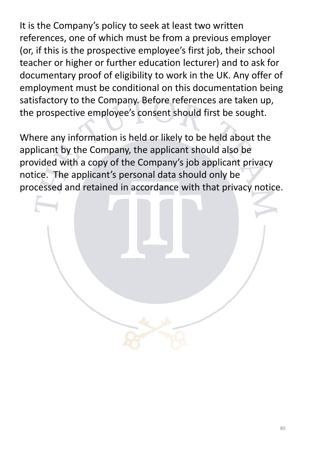It is the Company's policy to seek at least two written references, one of which must be from a previous employer (or, if this is the prospective employee's first job, their school teacher or higher or further education lecturer) and to ask for documentary proof of eligibility to work in the UK. Any offer of employment must be conditional on this documentation being satisfactory to the Company. Before references are taken up, the prospective employee's consent should first be sought.

Where any information is held or likely to be held about the applicant by the Company, the applicant should also be provided with a copy of the Company's job applicant privacy notice. The applicant's personal data should only be processed and retained in accordance with that privacy notice.

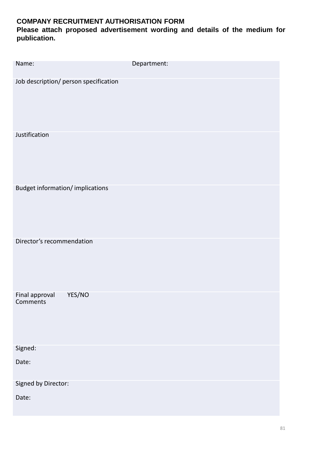#### **COMPANY RECRUITMENT AUTHORISATION FORM**

**Please attach proposed advertisement wording and details of the medium for publication.**

| Name:                                 | Department: |
|---------------------------------------|-------------|
| Job description/ person specification |             |
| Justification                         |             |
| Budget information/implications       |             |
| Director's recommendation             |             |
| YES/NO<br>Final approval<br>Comments  |             |
| Signed:                               |             |
| Date:                                 |             |
| Signed by Director:                   |             |
| Date:                                 |             |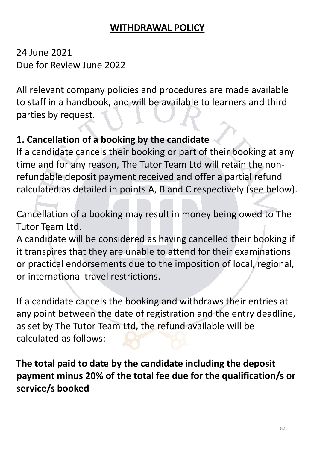#### **WITHDRAWAL POLICY**

24 June 2021 Due for Review June 2022

All relevant company policies and procedures are made available to staff in a handbook, and will be available to learners and third parties by request.

## **1. Cancellation of a booking by the candidate**

If a candidate cancels their booking or part of their booking at any time and for any reason, The Tutor Team Ltd will retain the nonrefundable deposit payment received and offer a partial refund calculated as detailed in points A, B and C respectively (see below).

Cancellation of a booking may result in money being owed to The Tutor Team Ltd.

A candidate will be considered as having cancelled their booking if it transpires that they are unable to attend for their examinations or practical endorsements due to the imposition of local, regional, or international travel restrictions.

If a candidate cancels the booking and withdraws their entries at any point between the date of registration and the entry deadline, as set by The Tutor Team Ltd, the refund available will be calculated as follows:

**The total paid to date by the candidate including the deposit payment minus 20% of the total fee due for the qualification/s or service/s booked**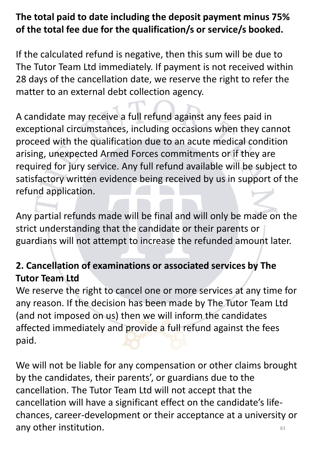## **The total paid to date including the deposit payment minus 75% of the total fee due for the qualification/s or service/s booked.**

If the calculated refund is negative, then this sum will be due to The Tutor Team Ltd immediately. If payment is not received within 28 days of the cancellation date, we reserve the right to refer the matter to an external debt collection agency.

A candidate may receive a full refund against any fees paid in exceptional circumstances, including occasions when they cannot proceed with the qualification due to an acute medical condition arising, unexpected Armed Forces commitments or if they are required for jury service. Any full refund available will be subject to satisfactory written evidence being received by us in support of the refund application.

Any partial refunds made will be final and will only be made on the strict understanding that the candidate or their parents or guardians will not attempt to increase the refunded amount later.

## **2. Cancellation of examinations or associated services by The Tutor Team Ltd**

We reserve the right to cancel one or more services at any time for any reason. If the decision has been made by The Tutor Team Ltd (and not imposed on us) then we will inform the candidates affected immediately and provide a full refund against the fees paid.

83 We will not be liable for any compensation or other claims brought by the candidates, their parents', or guardians due to the cancellation. The Tutor Team Ltd will not accept that the cancellation will have a significant effect on the candidate's lifechances, career-development or their acceptance at a university or any other institution.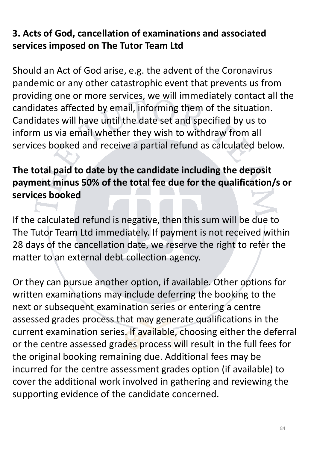## **3. Acts of God, cancellation of examinations and associated services imposed on The Tutor Team Ltd**

Should an Act of God arise, e.g. the advent of the Coronavirus pandemic or any other catastrophic event that prevents us from providing one or more services, we will immediately contact all the candidates affected by email, informing them of the situation. Candidates will have until the date set and specified by us to inform us via email whether they wish to withdraw from all services booked and receive a partial refund as calculated below.

## **The total paid to date by the candidate including the deposit payment minus 50% of the total fee due for the qualification/s or services booked**

If the calculated refund is negative, then this sum will be due to The Tutor Team Ltd immediately. If payment is not received within 28 days of the cancellation date, we reserve the right to refer the matter to an external debt collection agency.

Or they can pursue another option, if available. Other options for written examinations may include deferring the booking to the next or subsequent examination series or entering a centre assessed grades process that may generate qualifications in the current examination series. If available, choosing either the deferral or the centre assessed grades process will result in the full fees for the original booking remaining due. Additional fees may be incurred for the centre assessment grades option (if available) to cover the additional work involved in gathering and reviewing the supporting evidence of the candidate concerned.